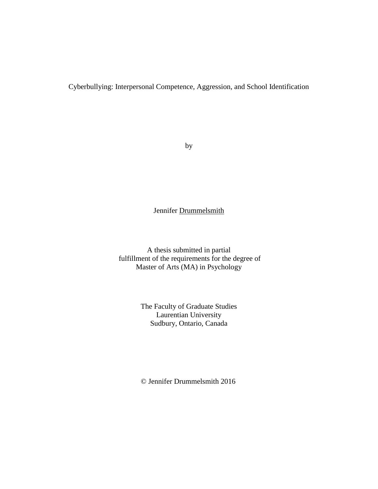Cyberbullying: Interpersonal Competence, Aggression, and School Identification

by

# Jennifer Drummelsmith

A thesis submitted in partial fulfillment of the requirements for the degree of Master of Arts (MA) in Psychology

> The Faculty of Graduate Studies Laurentian University Sudbury, Ontario, Canada

© Jennifer Drummelsmith 2016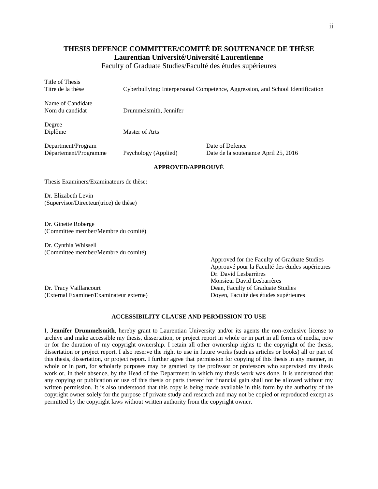# **THESIS DEFENCE COMMITTEE/COMITÉ DE SOUTENANCE DE THÈSE Laurentian Université/Université Laurentienne**

Faculty of Graduate Studies/Faculté des études supérieures

Title of Thesis

Titre de la thèse Cyberbullying: Interpersonal Competence, Aggression, and School Identification

Name of Candidate

Nom du candidat Drummelsmith, Jennifer

Degree

Diplôme Master of Arts

Department/Program Date of Defence

Département/Programme Psychology (Applied) Date de la soutenance April 25, 2016

#### **APPROVED/APPROUVÉ**

Thesis Examiners/Examinateurs de thèse:

Dr. Elizabeth Levin (Supervisor/Directeur(trice) de thèse)

Dr. Ginette Roberge (Committee member/Membre du comité)

Dr. Cynthia Whissell (Committee member/Membre du comité)

Dr. Tracy Vaillancourt Dean, Faculty of Graduate Studies (External Examiner/Examinateur externe) Doyen, Faculté des études supérieures

Approved for the Faculty of Graduate Studies Approuvé pour la Faculté des études supérieures Dr. David Lesbarrères Monsieur David Lesbarrères

#### **ACCESSIBILITY CLAUSE AND PERMISSION TO USE**

I, **Jennifer Drummelsmith**, hereby grant to Laurentian University and/or its agents the non-exclusive license to archive and make accessible my thesis, dissertation, or project report in whole or in part in all forms of media, now or for the duration of my copyright ownership. I retain all other ownership rights to the copyright of the thesis, dissertation or project report. I also reserve the right to use in future works (such as articles or books) all or part of this thesis, dissertation, or project report. I further agree that permission for copying of this thesis in any manner, in whole or in part, for scholarly purposes may be granted by the professor or professors who supervised my thesis work or, in their absence, by the Head of the Department in which my thesis work was done. It is understood that any copying or publication or use of this thesis or parts thereof for financial gain shall not be allowed without my written permission. It is also understood that this copy is being made available in this form by the authority of the copyright owner solely for the purpose of private study and research and may not be copied or reproduced except as permitted by the copyright laws without written authority from the copyright owner.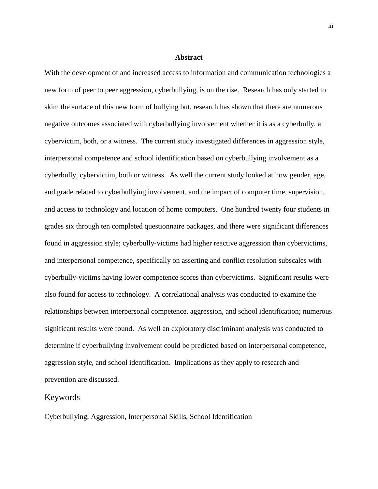#### **Abstract**

With the development of and increased access to information and communication technologies a new form of peer to peer aggression, cyberbullying, is on the rise. Research has only started to skim the surface of this new form of bullying but, research has shown that there are numerous negative outcomes associated with cyberbullying involvement whether it is as a cyberbully, a cybervictim, both, or a witness. The current study investigated differences in aggression style, interpersonal competence and school identification based on cyberbullying involvement as a cyberbully, cybervictim, both or witness. As well the current study looked at how gender, age, and grade related to cyberbullying involvement, and the impact of computer time, supervision, and access to technology and location of home computers. One hundred twenty four students in grades six through ten completed questionnaire packages, and there were significant differences found in aggression style; cyberbully-victims had higher reactive aggression than cybervictims, and interpersonal competence, specifically on asserting and conflict resolution subscales with cyberbully-victims having lower competence scores than cybervictims. Significant results were also found for access to technology. A correlational analysis was conducted to examine the relationships between interpersonal competence, aggression, and school identification; numerous significant results were found. As well an exploratory discriminant analysis was conducted to determine if cyberbullying involvement could be predicted based on interpersonal competence, aggression style, and school identification. Implications as they apply to research and prevention are discussed.

## Keywords

Cyberbullying, Aggression, Interpersonal Skills, School Identification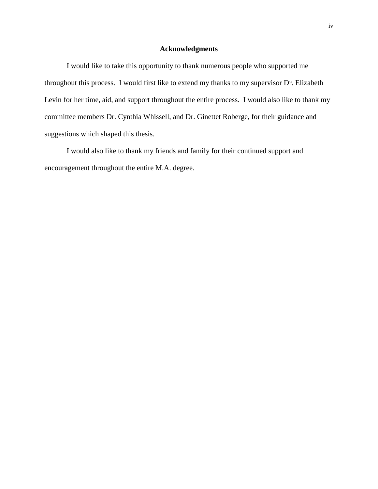## **Acknowledgments**

I would like to take this opportunity to thank numerous people who supported me throughout this process. I would first like to extend my thanks to my supervisor Dr. Elizabeth Levin for her time, aid, and support throughout the entire process. I would also like to thank my committee members Dr. Cynthia Whissell, and Dr. Ginettet Roberge, for their guidance and suggestions which shaped this thesis.

I would also like to thank my friends and family for their continued support and encouragement throughout the entire M.A. degree.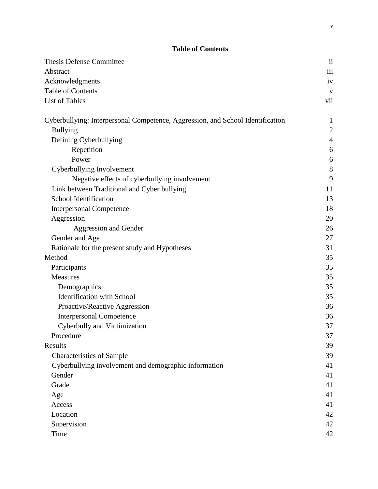# **Table of Contents**

| <b>Thesis Defense Committee</b>                                                | $\overline{\mathbf{ii}}$ |
|--------------------------------------------------------------------------------|--------------------------|
| Abstract                                                                       | iii                      |
| Acknowledgments                                                                | iv                       |
| Table of Contents                                                              | $\mathbf{V}$             |
| List of Tables                                                                 | vii                      |
| Cyberbullying: Interpersonal Competence, Aggression, and School Identification | $\mathbf{1}$             |
| <b>Bullying</b>                                                                | $\sqrt{2}$               |
| Defining Cyberbullying                                                         | $\overline{4}$           |
| Repetition                                                                     | 6                        |
| Power                                                                          | 6                        |
| Cyberbullying Involvement                                                      | 8                        |
| Negative effects of cyberbullying involvement                                  | 9                        |
| Link between Traditional and Cyber bullying                                    | 11                       |
| School Identification                                                          | 13                       |
| <b>Interpersonal Competence</b>                                                | 18                       |
| Aggression                                                                     | 20                       |
| Aggression and Gender                                                          | 26                       |
| Gender and Age                                                                 | 27                       |
| Rationale for the present study and Hypotheses                                 | 31                       |
| Method                                                                         | 35                       |
| Participants                                                                   | 35                       |
| Measures                                                                       | 35                       |
| Demographics                                                                   | 35                       |
| <b>Identification</b> with School                                              | 35                       |
| Proactive/Reactive Aggression                                                  | 36                       |
| <b>Interpersonal Competence</b>                                                | 36                       |
| Cyberbully and Victimization                                                   | 37                       |
| Procedure                                                                      | 37                       |
| Results                                                                        | 39                       |
| <b>Characteristics of Sample</b>                                               | 39                       |
| Cyberbullying involvement and demographic information                          | 41                       |
| Gender                                                                         | 41                       |
| Grade                                                                          | 41                       |
| Age                                                                            | 41                       |
| Access                                                                         | 41                       |
| Location                                                                       | 42                       |
| Supervision                                                                    | 42                       |
| Time                                                                           | 42                       |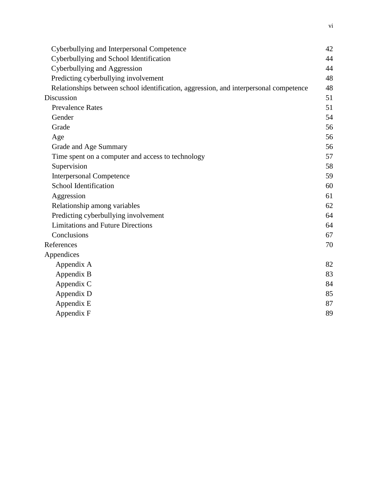| Cyberbullying and Interpersonal Competence                                            | 42 |
|---------------------------------------------------------------------------------------|----|
| Cyberbullying and School Identification                                               | 44 |
| Cyberbullying and Aggression                                                          | 44 |
| Predicting cyberbullying involvement                                                  | 48 |
| Relationships between school identification, aggression, and interpersonal competence | 48 |
| Discussion                                                                            | 51 |
| <b>Prevalence Rates</b>                                                               | 51 |
| Gender                                                                                | 54 |
| Grade                                                                                 | 56 |
| Age                                                                                   | 56 |
| Grade and Age Summary                                                                 | 56 |
| Time spent on a computer and access to technology                                     | 57 |
| Supervision                                                                           | 58 |
| <b>Interpersonal Competence</b>                                                       | 59 |
| School Identification                                                                 | 60 |
| Aggression                                                                            | 61 |
| Relationship among variables                                                          | 62 |
| Predicting cyberbullying involvement                                                  | 64 |
| <b>Limitations and Future Directions</b>                                              | 64 |
| Conclusions                                                                           | 67 |
| References                                                                            | 70 |
| Appendices                                                                            |    |
| Appendix A                                                                            | 82 |
| Appendix B                                                                            | 83 |
| Appendix C                                                                            | 84 |
| Appendix D                                                                            | 85 |
| Appendix E                                                                            | 87 |
| Appendix F                                                                            | 89 |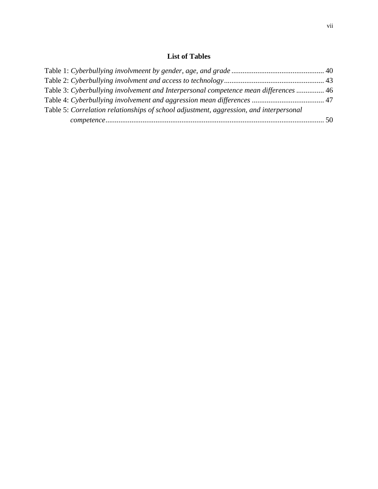# **List of Tables**

| Table 3: Cyberbullying involvement and Interpersonal competence mean differences  46   |  |
|----------------------------------------------------------------------------------------|--|
|                                                                                        |  |
| Table 5: Correlation relationships of school adjustment, aggression, and interpersonal |  |
|                                                                                        |  |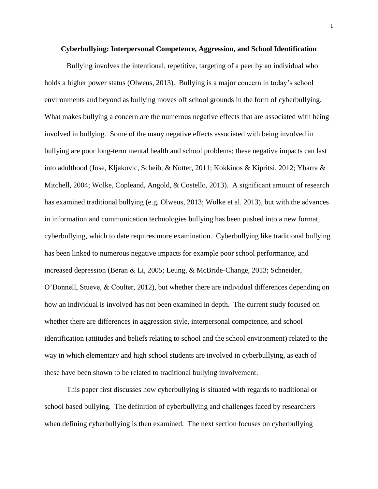#### **Cyberbullying: Interpersonal Competence, Aggression, and School Identification**

Bullying involves the intentional, repetitive, targeting of a peer by an individual who holds a higher power status (Olweus, 2013). Bullying is a major concern in today's school environments and beyond as bullying moves off school grounds in the form of cyberbullying. What makes bullying a concern are the numerous negative effects that are associated with being involved in bullying. Some of the many negative effects associated with being involved in bullying are poor long-term mental health and school problems; these negative impacts can last into adulthood (Jose, Kljakovic, Scheib, & Notter, 2011; Kokkinos & Kipritsi, 2012; Ybarra & Mitchell, 2004; Wolke, Copleand, Angold, & Costello, 2013). A significant amount of research has examined traditional bullying (e.g. Olweus, 2013; Wolke et al. 2013), but with the advances in information and communication technologies bullying has been pushed into a new format, cyberbullying, which to date requires more examination. Cyberbullying like traditional bullying has been linked to numerous negative impacts for example poor school performance, and increased depression (Beran & Li, 2005; Leung, & McBride-Change, 2013; Schneider, O'Donnell, Stueve, & Coulter, 2012), but whether there are individual differences depending on how an individual is involved has not been examined in depth. The current study focused on whether there are differences in aggression style, interpersonal competence, and school identification (attitudes and beliefs relating to school and the school environment) related to the way in which elementary and high school students are involved in cyberbullying, as each of these have been shown to be related to traditional bullying involvement.

This paper first discusses how cyberbullying is situated with regards to traditional or school based bullying. The definition of cyberbullying and challenges faced by researchers when defining cyberbullying is then examined. The next section focuses on cyberbullying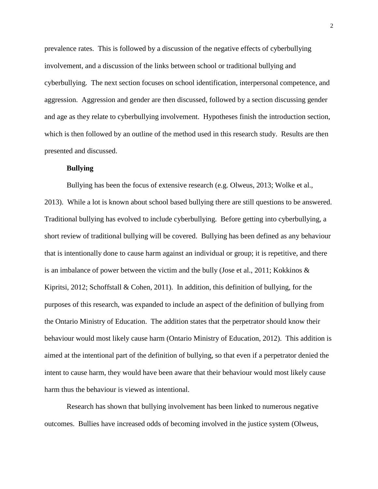prevalence rates. This is followed by a discussion of the negative effects of cyberbullying involvement, and a discussion of the links between school or traditional bullying and cyberbullying. The next section focuses on school identification, interpersonal competence, and aggression. Aggression and gender are then discussed, followed by a section discussing gender and age as they relate to cyberbullying involvement. Hypotheses finish the introduction section, which is then followed by an outline of the method used in this research study. Results are then presented and discussed.

## **Bullying**

Bullying has been the focus of extensive research (e.g. Olweus, 2013; Wolke et al.,

2013). While a lot is known about school based bullying there are still questions to be answered. Traditional bullying has evolved to include cyberbullying. Before getting into cyberbullying, a short review of traditional bullying will be covered. Bullying has been defined as any behaviour that is intentionally done to cause harm against an individual or group; it is repetitive, and there is an imbalance of power between the victim and the bully (Jose et al., 2011; Kokkinos  $\&$ Kipritsi, 2012; Schoffstall & Cohen, 2011). In addition, this definition of bullying, for the purposes of this research, was expanded to include an aspect of the definition of bullying from the Ontario Ministry of Education. The addition states that the perpetrator should know their behaviour would most likely cause harm (Ontario Ministry of Education, 2012). This addition is aimed at the intentional part of the definition of bullying, so that even if a perpetrator denied the intent to cause harm, they would have been aware that their behaviour would most likely cause harm thus the behaviour is viewed as intentional.

Research has shown that bullying involvement has been linked to numerous negative outcomes. Bullies have increased odds of becoming involved in the justice system (Olweus,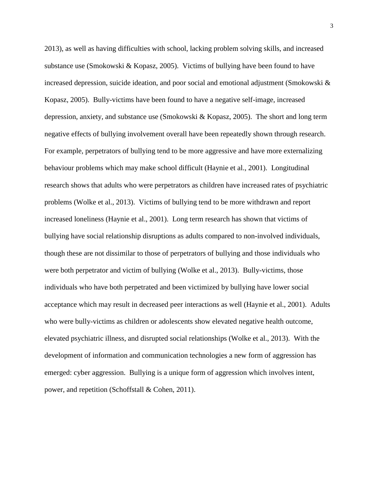2013), as well as having difficulties with school, lacking problem solving skills, and increased substance use (Smokowski & Kopasz, 2005). Victims of bullying have been found to have increased depression, suicide ideation, and poor social and emotional adjustment (Smokowski  $\&$ Kopasz, 2005). Bully-victims have been found to have a negative self-image, increased depression, anxiety, and substance use (Smokowski & Kopasz, 2005). The short and long term negative effects of bullying involvement overall have been repeatedly shown through research. For example, perpetrators of bullying tend to be more aggressive and have more externalizing behaviour problems which may make school difficult (Haynie et al., 2001). Longitudinal research shows that adults who were perpetrators as children have increased rates of psychiatric problems (Wolke et al., 2013). Victims of bullying tend to be more withdrawn and report increased loneliness (Haynie et al., 2001). Long term research has shown that victims of bullying have social relationship disruptions as adults compared to non-involved individuals, though these are not dissimilar to those of perpetrators of bullying and those individuals who were both perpetrator and victim of bullying (Wolke et al., 2013). Bully-victims, those individuals who have both perpetrated and been victimized by bullying have lower social acceptance which may result in decreased peer interactions as well (Haynie et al., 2001). Adults who were bully-victims as children or adolescents show elevated negative health outcome, elevated psychiatric illness, and disrupted social relationships (Wolke et al., 2013). With the development of information and communication technologies a new form of aggression has emerged: cyber aggression. Bullying is a unique form of aggression which involves intent, power, and repetition (Schoffstall & Cohen, 2011).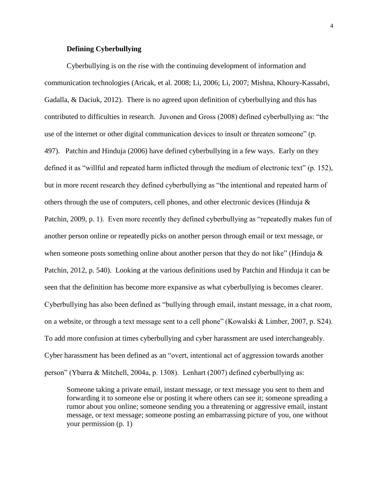## **Defining Cyberbullying**

Cyberbullying is on the rise with the continuing development of information and communication technologies (Aricak, et al. 2008; Li, 2006; Li, 2007; Mishna, Khoury-Kassabri, Gadalla, & Daciuk, 2012). There is no agreed upon definition of cyberbullying and this has contributed to difficulties in research. Juvonen and Gross (2008) defined cyberbullying as: "the use of the internet or other digital communication devices to insult or threaten someone" (p. 497). Patchin and Hinduja (2006) have defined cyberbullying in a few ways. Early on they defined it as "willful and repeated harm inflicted through the medium of electronic text" (p. 152), but in more recent research they defined cyberbullying as "the intentional and repeated harm of others through the use of computers, cell phones, and other electronic devices (Hinduja  $\&$ Patchin, 2009, p. 1). Even more recently they defined cyberbullying as "repeatedly makes fun of another person online or repeatedly picks on another person through email or text message, or when someone posts something online about another person that they do not like" (Hinduja & Patchin, 2012, p. 540). Looking at the various definitions used by Patchin and Hinduja it can be seen that the definition has become more expansive as what cyberbullying is becomes clearer. Cyberbullying has also been defined as "bullying through email, instant message, in a chat room, on a website, or through a text message sent to a cell phone" (Kowalski & Limber, 2007, p. S24). To add more confusion at times cyberbullying and cyber harassment are used interchangeably. Cyber harassment has been defined as an "overt, intentional act of aggression towards another person" (Ybarra & Mitchell, 2004a, p. 1308). Lenhart (2007) defined cyberbullying as:

Someone taking a private email, instant message, or text message you sent to them and forwarding it to someone else or posting it where others can see it; someone spreading a rumor about you online; someone sending you a threatening or aggressive email, instant message, or text message; someone posting an embarrassing picture of you, one without your permission (p. 1)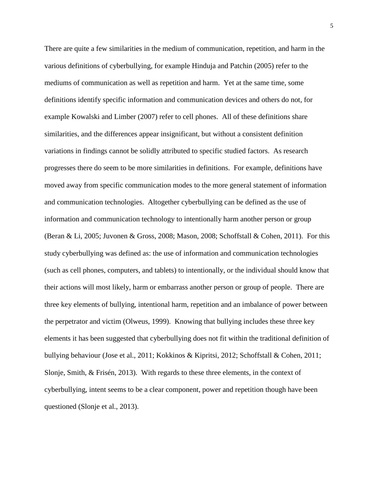There are quite a few similarities in the medium of communication, repetition, and harm in the various definitions of cyberbullying, for example Hinduja and Patchin (2005) refer to the mediums of communication as well as repetition and harm. Yet at the same time, some definitions identify specific information and communication devices and others do not, for example Kowalski and Limber (2007) refer to cell phones. All of these definitions share similarities, and the differences appear insignificant, but without a consistent definition variations in findings cannot be solidly attributed to specific studied factors. As research progresses there do seem to be more similarities in definitions. For example, definitions have moved away from specific communication modes to the more general statement of information and communication technologies. Altogether cyberbullying can be defined as the use of information and communication technology to intentionally harm another person or group (Beran & Li, 2005; Juvonen & Gross, 2008; Mason, 2008; Schoffstall & Cohen, 2011). For this study cyberbullying was defined as: the use of information and communication technologies (such as cell phones, computers, and tablets) to intentionally, or the individual should know that their actions will most likely, harm or embarrass another person or group of people. There are three key elements of bullying, intentional harm, repetition and an imbalance of power between the perpetrator and victim (Olweus, 1999). Knowing that bullying includes these three key elements it has been suggested that cyberbullying does not fit within the traditional definition of bullying behaviour (Jose et al., 2011; Kokkinos & Kipritsi, 2012; Schoffstall & Cohen, 2011; Slonje, Smith, & Frisén, 2013). With regards to these three elements, in the context of cyberbullying, intent seems to be a clear component, power and repetition though have been questioned (Slonje et al., 2013).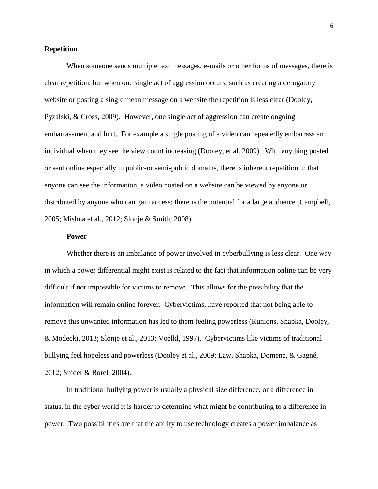## **Repetition**

When someone sends multiple text messages, e-mails or other forms of messages, there is clear repetition, but when one single act of aggression occurs, such as creating a derogatory website or posting a single mean message on a website the repetition is less clear (Dooley, Pyzalski, & Cross, 2009). However, one single act of aggression can create ongoing embarrassment and hurt. For example a single posting of a video can repeatedly embarrass an individual when they see the view count increasing (Dooley, et al. 2009). With anything posted or sent online especially in public-or semi-public domains, there is inherent repetition in that anyone can see the information, a video posted on a website can be viewed by anyone or distributed by anyone who can gain access; there is the potential for a large audience (Campbell, 2005; Mishna et al., 2012; Slonje & Smith, 2008).

## **Power**

Whether there is an imbalance of power involved in cyberbullying is less clear. One way in which a power differential might exist is related to the fact that information online can be very difficult if not impossible for victims to remove. This allows for the possibility that the information will remain online forever. Cybervictims, have reported that not being able to remove this unwanted information has led to them feeling powerless (Runions, Shapka, Dooley, & Modecki, 2013; Slonje et al., 2013; Voelkl, 1997). Cybervictims like victims of traditional bullying feel hopeless and powerless (Dooley et al., 2009; Law, Shapka, Domene, & Gagné, 2012; Snider & Borel, 2004).

In traditional bullying power is usually a physical size difference, or a difference in status, in the cyber world it is harder to determine what might be contributing to a difference in power. Two possibilities are that the ability to use technology creates a power imbalance as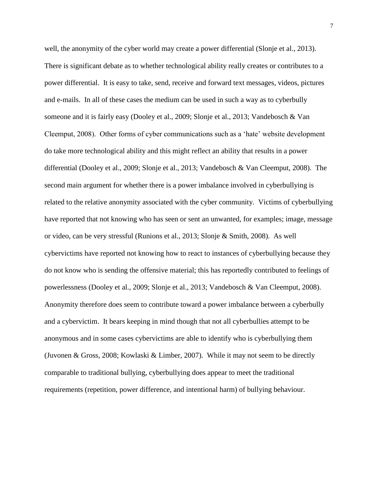well, the anonymity of the cyber world may create a power differential (Slonje et al., 2013). There is significant debate as to whether technological ability really creates or contributes to a power differential. It is easy to take, send, receive and forward text messages, videos, pictures and e-mails. In all of these cases the medium can be used in such a way as to cyberbully someone and it is fairly easy (Dooley et al., 2009; Slonje et al., 2013; Vandebosch & Van Cleemput, 2008). Other forms of cyber communications such as a 'hate' website development do take more technological ability and this might reflect an ability that results in a power differential (Dooley et al., 2009; Slonje et al., 2013; Vandebosch & Van Cleemput, 2008). The second main argument for whether there is a power imbalance involved in cyberbullying is related to the relative anonymity associated with the cyber community. Victims of cyberbullying have reported that not knowing who has seen or sent an unwanted, for examples; image, message or video, can be very stressful (Runions et al., 2013; Slonje & Smith, 2008). As well cybervictims have reported not knowing how to react to instances of cyberbullying because they do not know who is sending the offensive material; this has reportedly contributed to feelings of powerlessness (Dooley et al., 2009; Slonje et al., 2013; Vandebosch & Van Cleemput, 2008). Anonymity therefore does seem to contribute toward a power imbalance between a cyberbully and a cybervictim. It bears keeping in mind though that not all cyberbullies attempt to be anonymous and in some cases cybervictims are able to identify who is cyberbullying them (Juvonen & Gross, 2008; Kowlaski & Limber, 2007). While it may not seem to be directly comparable to traditional bullying, cyberbullying does appear to meet the traditional requirements (repetition, power difference, and intentional harm) of bullying behaviour.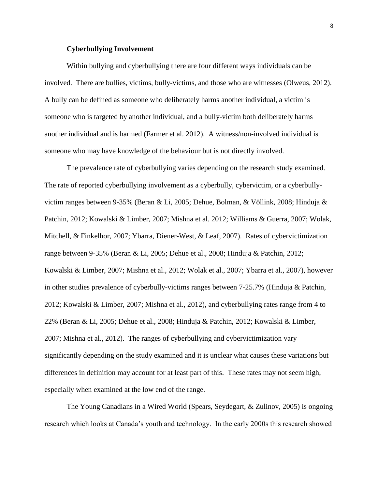## **Cyberbullying Involvement**

Within bullying and cyberbullying there are four different ways individuals can be involved. There are bullies, victims, bully-victims, and those who are witnesses (Olweus, 2012). A bully can be defined as someone who deliberately harms another individual, a victim is someone who is targeted by another individual, and a bully-victim both deliberately harms another individual and is harmed (Farmer et al. 2012). A witness/non-involved individual is someone who may have knowledge of the behaviour but is not directly involved.

The prevalence rate of cyberbullying varies depending on the research study examined. The rate of reported cyberbullying involvement as a cyberbully, cybervictim, or a cyberbullyvictim ranges between 9-35% (Beran & Li, 2005; Dehue, Bolman, & Völlink, 2008; Hinduja & Patchin, 2012; Kowalski & Limber, 2007; Mishna et al. 2012; Williams & Guerra, 2007; Wolak, Mitchell, & Finkelhor, 2007; Ybarra, Diener-West, & Leaf, 2007). Rates of cybervictimization range between 9-35% (Beran & Li, 2005; Dehue et al., 2008; Hinduja & Patchin, 2012; Kowalski & Limber, 2007; Mishna et al., 2012; Wolak et al., 2007; Ybarra et al., 2007), however in other studies prevalence of cyberbully-victims ranges between 7-25.7% (Hinduja & Patchin, 2012; Kowalski & Limber, 2007; Mishna et al., 2012), and cyberbullying rates range from 4 to 22% (Beran & Li, 2005; Dehue et al., 2008; Hinduja & Patchin, 2012; Kowalski & Limber, 2007; Mishna et al., 2012). The ranges of cyberbullying and cybervictimization vary significantly depending on the study examined and it is unclear what causes these variations but differences in definition may account for at least part of this. These rates may not seem high, especially when examined at the low end of the range.

The Young Canadians in a Wired World (Spears, Seydegart, & Zulinov, 2005) is ongoing research which looks at Canada's youth and technology. In the early 2000s this research showed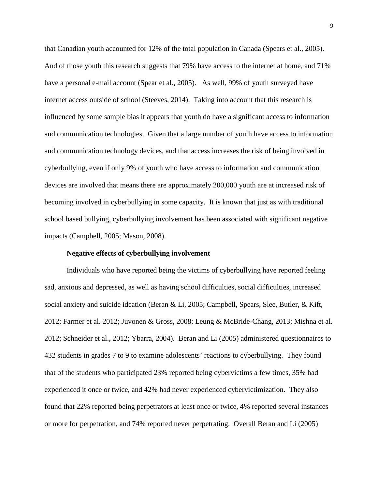that Canadian youth accounted for 12% of the total population in Canada (Spears et al., 2005). And of those youth this research suggests that 79% have access to the internet at home, and 71% have a personal e-mail account (Spear et al., 2005). As well, 99% of youth surveyed have internet access outside of school (Steeves, 2014). Taking into account that this research is influenced by some sample bias it appears that youth do have a significant access to information and communication technologies. Given that a large number of youth have access to information and communication technology devices, and that access increases the risk of being involved in cyberbullying, even if only 9% of youth who have access to information and communication devices are involved that means there are approximately 200,000 youth are at increased risk of becoming involved in cyberbullying in some capacity. It is known that just as with traditional school based bullying, cyberbullying involvement has been associated with significant negative impacts (Campbell, 2005; Mason, 2008).

#### **Negative effects of cyberbullying involvement**

Individuals who have reported being the victims of cyberbullying have reported feeling sad, anxious and depressed, as well as having school difficulties, social difficulties, increased social anxiety and suicide ideation (Beran & Li, 2005; Campbell, Spears, Slee, Butler, & Kift, 2012; Farmer et al. 2012; Juvonen & Gross, 2008; Leung & McBride-Chang, 2013; Mishna et al. 2012; Schneider et al., 2012; Ybarra, 2004). Beran and Li (2005) administered questionnaires to 432 students in grades 7 to 9 to examine adolescents' reactions to cyberbullying. They found that of the students who participated 23% reported being cybervictims a few times, 35% had experienced it once or twice, and 42% had never experienced cybervictimization. They also found that 22% reported being perpetrators at least once or twice, 4% reported several instances or more for perpetration, and 74% reported never perpetrating. Overall Beran and Li (2005)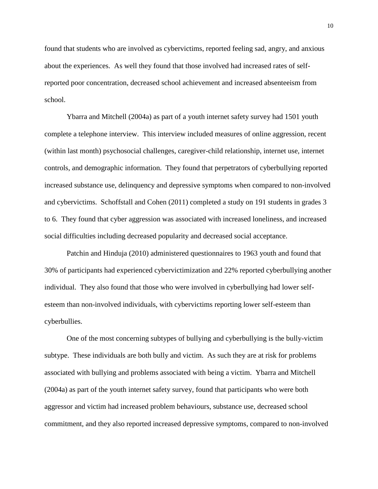found that students who are involved as cybervictims, reported feeling sad, angry, and anxious about the experiences. As well they found that those involved had increased rates of selfreported poor concentration, decreased school achievement and increased absenteeism from school.

Ybarra and Mitchell (2004a) as part of a youth internet safety survey had 1501 youth complete a telephone interview. This interview included measures of online aggression, recent (within last month) psychosocial challenges, caregiver-child relationship, internet use, internet controls, and demographic information. They found that perpetrators of cyberbullying reported increased substance use, delinquency and depressive symptoms when compared to non-involved and cybervictims. Schoffstall and Cohen (2011) completed a study on 191 students in grades 3 to 6. They found that cyber aggression was associated with increased loneliness, and increased social difficulties including decreased popularity and decreased social acceptance.

Patchin and Hinduja (2010) administered questionnaires to 1963 youth and found that 30% of participants had experienced cybervictimization and 22% reported cyberbullying another individual. They also found that those who were involved in cyberbullying had lower selfesteem than non-involved individuals, with cybervictims reporting lower self-esteem than cyberbullies.

One of the most concerning subtypes of bullying and cyberbullying is the bully-victim subtype. These individuals are both bully and victim. As such they are at risk for problems associated with bullying and problems associated with being a victim. Ybarra and Mitchell (2004a) as part of the youth internet safety survey, found that participants who were both aggressor and victim had increased problem behaviours, substance use, decreased school commitment, and they also reported increased depressive symptoms, compared to non-involved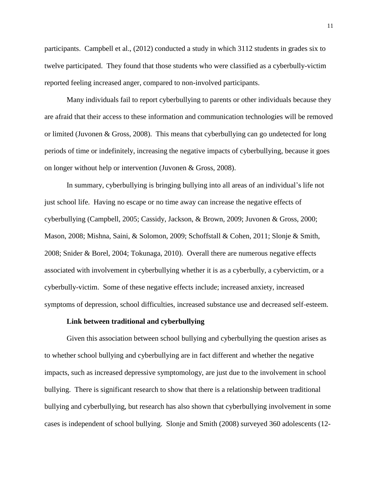participants. Campbell et al., (2012) conducted a study in which 3112 students in grades six to twelve participated. They found that those students who were classified as a cyberbully-victim reported feeling increased anger, compared to non-involved participants.

Many individuals fail to report cyberbullying to parents or other individuals because they are afraid that their access to these information and communication technologies will be removed or limited (Juvonen & Gross, 2008). This means that cyberbullying can go undetected for long periods of time or indefinitely, increasing the negative impacts of cyberbullying, because it goes on longer without help or intervention (Juvonen & Gross, 2008).

In summary, cyberbullying is bringing bullying into all areas of an individual's life not just school life. Having no escape or no time away can increase the negative effects of cyberbullying (Campbell, 2005; Cassidy, Jackson, & Brown, 2009; Juvonen & Gross, 2000; Mason, 2008; Mishna, Saini, & Solomon, 2009; Schoffstall & Cohen, 2011; Slonje & Smith, 2008; Snider & Borel, 2004; Tokunaga, 2010). Overall there are numerous negative effects associated with involvement in cyberbullying whether it is as a cyberbully, a cybervictim, or a cyberbully-victim. Some of these negative effects include; increased anxiety, increased symptoms of depression, school difficulties, increased substance use and decreased self-esteem.

#### **Link between traditional and cyberbullying**

Given this association between school bullying and cyberbullying the question arises as to whether school bullying and cyberbullying are in fact different and whether the negative impacts, such as increased depressive symptomology, are just due to the involvement in school bullying. There is significant research to show that there is a relationship between traditional bullying and cyberbullying, but research has also shown that cyberbullying involvement in some cases is independent of school bullying. Slonje and Smith (2008) surveyed 360 adolescents (12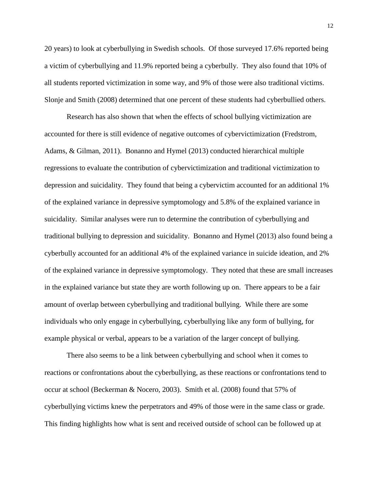20 years) to look at cyberbullying in Swedish schools. Of those surveyed 17.6% reported being a victim of cyberbullying and 11.9% reported being a cyberbully. They also found that 10% of all students reported victimization in some way, and 9% of those were also traditional victims. Slonje and Smith (2008) determined that one percent of these students had cyberbullied others.

Research has also shown that when the effects of school bullying victimization are accounted for there is still evidence of negative outcomes of cybervictimization (Fredstrom, Adams, & Gilman, 2011). Bonanno and Hymel (2013) conducted hierarchical multiple regressions to evaluate the contribution of cybervictimization and traditional victimization to depression and suicidality. They found that being a cybervictim accounted for an additional 1% of the explained variance in depressive symptomology and 5.8% of the explained variance in suicidality. Similar analyses were run to determine the contribution of cyberbullying and traditional bullying to depression and suicidality. Bonanno and Hymel (2013) also found being a cyberbully accounted for an additional 4% of the explained variance in suicide ideation, and 2% of the explained variance in depressive symptomology. They noted that these are small increases in the explained variance but state they are worth following up on. There appears to be a fair amount of overlap between cyberbullying and traditional bullying. While there are some individuals who only engage in cyberbullying, cyberbullying like any form of bullying, for example physical or verbal, appears to be a variation of the larger concept of bullying.

There also seems to be a link between cyberbullying and school when it comes to reactions or confrontations about the cyberbullying, as these reactions or confrontations tend to occur at school (Beckerman & Nocero, 2003). Smith et al. (2008) found that 57% of cyberbullying victims knew the perpetrators and 49% of those were in the same class or grade. This finding highlights how what is sent and received outside of school can be followed up at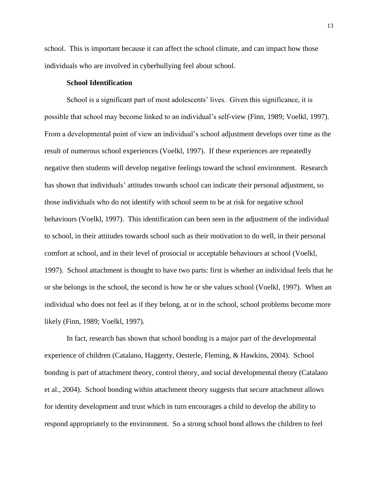school. This is important because it can affect the school climate, and can impact how those individuals who are involved in cyberbullying feel about school.

## **School Identification**

School is a significant part of most adolescents' lives. Given this significance, it is possible that school may become linked to an individual's self-view (Finn, 1989; Voelkl, 1997). From a developmental point of view an individual's school adjustment develops over time as the result of numerous school experiences (Voelkl, 1997). If these experiences are repeatedly negative then students will develop negative feelings toward the school environment. Research has shown that individuals' attitudes towards school can indicate their personal adjustment, so those individuals who do not identify with school seem to be at risk for negative school behaviours (Voelkl, 1997). This identification can been seen in the adjustment of the individual to school, in their attitudes towards school such as their motivation to do well, in their personal comfort at school, and in their level of prosocial or acceptable behaviours at school (Voelkl, 1997). School attachment is thought to have two parts: first is whether an individual feels that he or she belongs in the school, the second is how he or she values school (Voelkl, 1997). When an individual who does not feel as if they belong, at or in the school, school problems become more likely (Finn, 1989; Voelkl, 1997).

In fact, research has shown that school bonding is a major part of the developmental experience of children (Catalano, Haggerty, Oesterle, Fleming, & Hawkins, 2004). School bonding is part of attachment theory, control theory, and social developmental theory (Catalano et al., 2004). School bonding within attachment theory suggests that secure attachment allows for identity development and trust which in turn encourages a child to develop the ability to respond appropriately to the environment. So a strong school bond allows the children to feel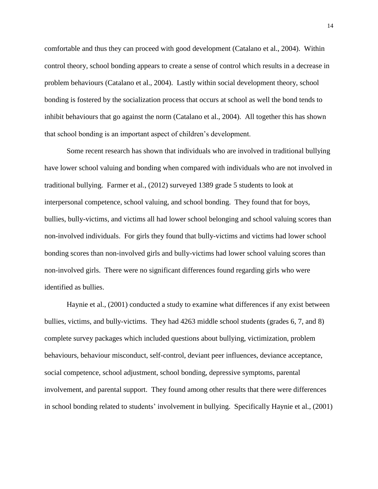comfortable and thus they can proceed with good development (Catalano et al., 2004). Within control theory, school bonding appears to create a sense of control which results in a decrease in problem behaviours (Catalano et al., 2004). Lastly within social development theory, school bonding is fostered by the socialization process that occurs at school as well the bond tends to inhibit behaviours that go against the norm (Catalano et al., 2004). All together this has shown that school bonding is an important aspect of children's development.

Some recent research has shown that individuals who are involved in traditional bullying have lower school valuing and bonding when compared with individuals who are not involved in traditional bullying. Farmer et al., (2012) surveyed 1389 grade 5 students to look at interpersonal competence, school valuing, and school bonding. They found that for boys, bullies, bully-victims, and victims all had lower school belonging and school valuing scores than non-involved individuals. For girls they found that bully-victims and victims had lower school bonding scores than non-involved girls and bully-victims had lower school valuing scores than non-involved girls. There were no significant differences found regarding girls who were identified as bullies.

Haynie et al., (2001) conducted a study to examine what differences if any exist between bullies, victims, and bully-victims. They had 4263 middle school students (grades 6, 7, and 8) complete survey packages which included questions about bullying, victimization, problem behaviours, behaviour misconduct, self-control, deviant peer influences, deviance acceptance, social competence, school adjustment, school bonding, depressive symptoms, parental involvement, and parental support. They found among other results that there were differences in school bonding related to students' involvement in bullying. Specifically Haynie et al., (2001)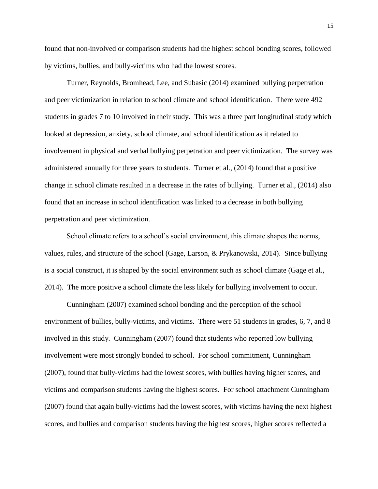found that non-involved or comparison students had the highest school bonding scores, followed by victims, bullies, and bully-victims who had the lowest scores.

Turner, Reynolds, Bromhead, Lee, and Subasic (2014) examined bullying perpetration and peer victimization in relation to school climate and school identification. There were 492 students in grades 7 to 10 involved in their study. This was a three part longitudinal study which looked at depression, anxiety, school climate, and school identification as it related to involvement in physical and verbal bullying perpetration and peer victimization. The survey was administered annually for three years to students. Turner et al., (2014) found that a positive change in school climate resulted in a decrease in the rates of bullying. Turner et al., (2014) also found that an increase in school identification was linked to a decrease in both bullying perpetration and peer victimization.

School climate refers to a school's social environment, this climate shapes the norms, values, rules, and structure of the school (Gage, Larson, & Prykanowski, 2014). Since bullying is a social construct, it is shaped by the social environment such as school climate (Gage et al., 2014). The more positive a school climate the less likely for bullying involvement to occur.

Cunningham (2007) examined school bonding and the perception of the school environment of bullies, bully-victims, and victims. There were 51 students in grades, 6, 7, and 8 involved in this study. Cunningham (2007) found that students who reported low bullying involvement were most strongly bonded to school. For school commitment, Cunningham (2007), found that bully-victims had the lowest scores, with bullies having higher scores, and victims and comparison students having the highest scores. For school attachment Cunningham (2007) found that again bully-victims had the lowest scores, with victims having the next highest scores, and bullies and comparison students having the highest scores, higher scores reflected a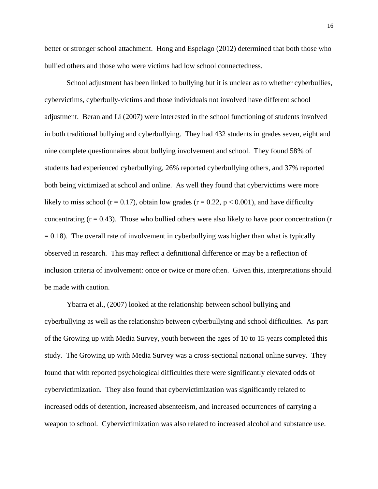better or stronger school attachment. Hong and Espelago (2012) determined that both those who bullied others and those who were victims had low school connectedness.

School adjustment has been linked to bullying but it is unclear as to whether cyberbullies, cybervictims, cyberbully-victims and those individuals not involved have different school adjustment. Beran and Li (2007) were interested in the school functioning of students involved in both traditional bullying and cyberbullying. They had 432 students in grades seven, eight and nine complete questionnaires about bullying involvement and school. They found 58% of students had experienced cyberbullying, 26% reported cyberbullying others, and 37% reported both being victimized at school and online. As well they found that cybervictims were more likely to miss school ( $r = 0.17$ ), obtain low grades ( $r = 0.22$ ,  $p < 0.001$ ), and have difficulty concentrating  $(r = 0.43)$ . Those who bullied others were also likely to have poor concentration  $(r = 0.43)$  $= 0.18$ ). The overall rate of involvement in cyberbullying was higher than what is typically observed in research. This may reflect a definitional difference or may be a reflection of inclusion criteria of involvement: once or twice or more often. Given this, interpretations should be made with caution.

Ybarra et al., (2007) looked at the relationship between school bullying and cyberbullying as well as the relationship between cyberbullying and school difficulties. As part of the Growing up with Media Survey, youth between the ages of 10 to 15 years completed this study. The Growing up with Media Survey was a cross-sectional national online survey. They found that with reported psychological difficulties there were significantly elevated odds of cybervictimization. They also found that cybervictimization was significantly related to increased odds of detention, increased absenteeism, and increased occurrences of carrying a weapon to school. Cybervictimization was also related to increased alcohol and substance use.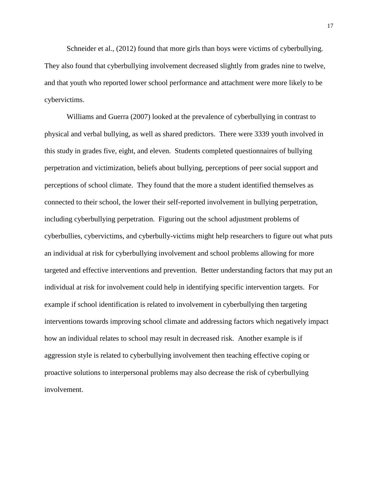Schneider et al., (2012) found that more girls than boys were victims of cyberbullying. They also found that cyberbullying involvement decreased slightly from grades nine to twelve, and that youth who reported lower school performance and attachment were more likely to be cybervictims.

Williams and Guerra (2007) looked at the prevalence of cyberbullying in contrast to physical and verbal bullying, as well as shared predictors. There were 3339 youth involved in this study in grades five, eight, and eleven. Students completed questionnaires of bullying perpetration and victimization, beliefs about bullying, perceptions of peer social support and perceptions of school climate. They found that the more a student identified themselves as connected to their school, the lower their self-reported involvement in bullying perpetration, including cyberbullying perpetration. Figuring out the school adjustment problems of cyberbullies, cybervictims, and cyberbully-victims might help researchers to figure out what puts an individual at risk for cyberbullying involvement and school problems allowing for more targeted and effective interventions and prevention. Better understanding factors that may put an individual at risk for involvement could help in identifying specific intervention targets. For example if school identification is related to involvement in cyberbullying then targeting interventions towards improving school climate and addressing factors which negatively impact how an individual relates to school may result in decreased risk. Another example is if aggression style is related to cyberbullying involvement then teaching effective coping or proactive solutions to interpersonal problems may also decrease the risk of cyberbullying involvement.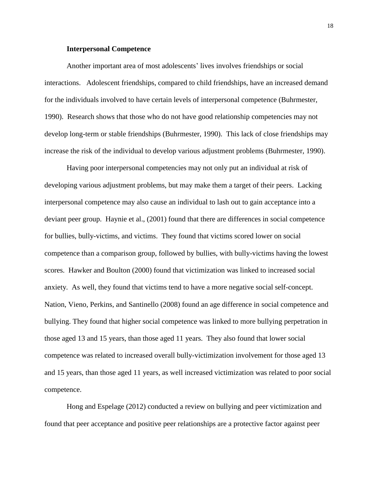#### **Interpersonal Competence**

Another important area of most adolescents' lives involves friendships or social interactions. Adolescent friendships, compared to child friendships, have an increased demand for the individuals involved to have certain levels of interpersonal competence (Buhrmester, 1990). Research shows that those who do not have good relationship competencies may not develop long-term or stable friendships (Buhrmester, 1990). This lack of close friendships may increase the risk of the individual to develop various adjustment problems (Buhrmester, 1990).

Having poor interpersonal competencies may not only put an individual at risk of developing various adjustment problems, but may make them a target of their peers. Lacking interpersonal competence may also cause an individual to lash out to gain acceptance into a deviant peer group. Haynie et al., (2001) found that there are differences in social competence for bullies, bully-victims, and victims. They found that victims scored lower on social competence than a comparison group, followed by bullies, with bully-victims having the lowest scores. Hawker and Boulton (2000) found that victimization was linked to increased social anxiety. As well, they found that victims tend to have a more negative social self-concept. Nation, Vieno, Perkins, and Santinello (2008) found an age difference in social competence and bullying. They found that higher social competence was linked to more bullying perpetration in those aged 13 and 15 years, than those aged 11 years. They also found that lower social competence was related to increased overall bully-victimization involvement for those aged 13 and 15 years, than those aged 11 years, as well increased victimization was related to poor social competence.

Hong and Espelage (2012) conducted a review on bullying and peer victimization and found that peer acceptance and positive peer relationships are a protective factor against peer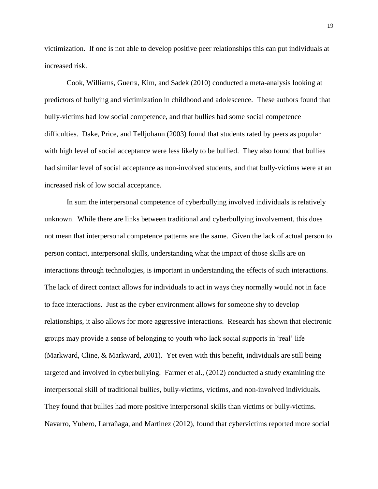victimization. If one is not able to develop positive peer relationships this can put individuals at increased risk.

Cook, Williams, Guerra, Kim, and Sadek (2010) conducted a meta-analysis looking at predictors of bullying and victimization in childhood and adolescence. These authors found that bully-victims had low social competence, and that bullies had some social competence difficulties. Dake, Price, and Telljohann (2003) found that students rated by peers as popular with high level of social acceptance were less likely to be bullied. They also found that bullies had similar level of social acceptance as non-involved students, and that bully-victims were at an increased risk of low social acceptance.

In sum the interpersonal competence of cyberbullying involved individuals is relatively unknown. While there are links between traditional and cyberbullying involvement, this does not mean that interpersonal competence patterns are the same. Given the lack of actual person to person contact, interpersonal skills, understanding what the impact of those skills are on interactions through technologies, is important in understanding the effects of such interactions. The lack of direct contact allows for individuals to act in ways they normally would not in face to face interactions. Just as the cyber environment allows for someone shy to develop relationships, it also allows for more aggressive interactions. Research has shown that electronic groups may provide a sense of belonging to youth who lack social supports in 'real' life (Markward, Cline, & Markward, 2001). Yet even with this benefit, individuals are still being targeted and involved in cyberbullying. Farmer et al., (2012) conducted a study examining the interpersonal skill of traditional bullies, bully-victims, victims, and non-involved individuals. They found that bullies had more positive interpersonal skills than victims or bully-victims. Navarro, Yubero, Larrañaga, and Martinez (2012), found that cybervictims reported more social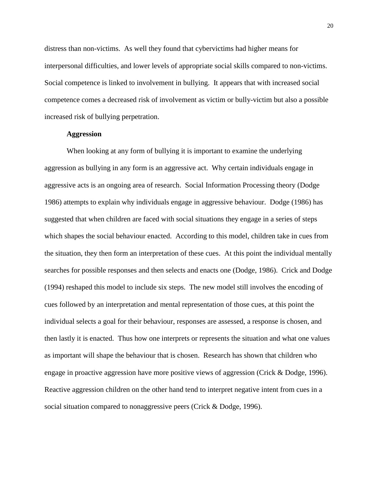distress than non-victims. As well they found that cybervictims had higher means for interpersonal difficulties, and lower levels of appropriate social skills compared to non-victims. Social competence is linked to involvement in bullying. It appears that with increased social competence comes a decreased risk of involvement as victim or bully-victim but also a possible increased risk of bullying perpetration.

## **Aggression**

When looking at any form of bullying it is important to examine the underlying aggression as bullying in any form is an aggressive act. Why certain individuals engage in aggressive acts is an ongoing area of research. Social Information Processing theory (Dodge 1986) attempts to explain why individuals engage in aggressive behaviour. Dodge (1986) has suggested that when children are faced with social situations they engage in a series of steps which shapes the social behaviour enacted. According to this model, children take in cues from the situation, they then form an interpretation of these cues. At this point the individual mentally searches for possible responses and then selects and enacts one (Dodge, 1986). Crick and Dodge (1994) reshaped this model to include six steps. The new model still involves the encoding of cues followed by an interpretation and mental representation of those cues, at this point the individual selects a goal for their behaviour, responses are assessed, a response is chosen, and then lastly it is enacted. Thus how one interprets or represents the situation and what one values as important will shape the behaviour that is chosen. Research has shown that children who engage in proactive aggression have more positive views of aggression (Crick & Dodge, 1996). Reactive aggression children on the other hand tend to interpret negative intent from cues in a social situation compared to nonaggressive peers (Crick & Dodge, 1996).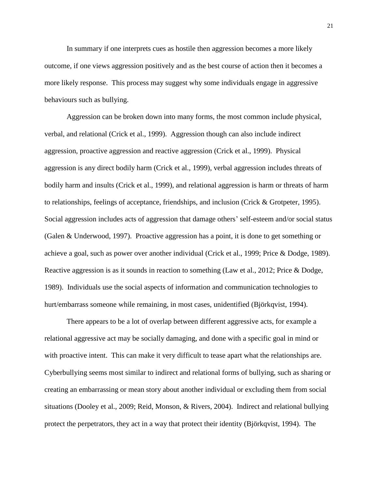In summary if one interprets cues as hostile then aggression becomes a more likely outcome, if one views aggression positively and as the best course of action then it becomes a more likely response. This process may suggest why some individuals engage in aggressive behaviours such as bullying.

Aggression can be broken down into many forms, the most common include physical, verbal, and relational (Crick et al., 1999). Aggression though can also include indirect aggression, proactive aggression and reactive aggression (Crick et al., 1999). Physical aggression is any direct bodily harm (Crick et al., 1999), verbal aggression includes threats of bodily harm and insults (Crick et al., 1999), and relational aggression is harm or threats of harm to relationships, feelings of acceptance, friendships, and inclusion (Crick & Grotpeter, 1995). Social aggression includes acts of aggression that damage others' self-esteem and/or social status (Galen & Underwood, 1997). Proactive aggression has a point, it is done to get something or achieve a goal, such as power over another individual (Crick et al., 1999; Price & Dodge, 1989). Reactive aggression is as it sounds in reaction to something (Law et al., 2012; Price & Dodge, 1989). Individuals use the social aspects of information and communication technologies to hurt/embarrass someone while remaining, in most cases, unidentified (Björkqvist, 1994).

There appears to be a lot of overlap between different aggressive acts, for example a relational aggressive act may be socially damaging, and done with a specific goal in mind or with proactive intent. This can make it very difficult to tease apart what the relationships are. Cyberbullying seems most similar to indirect and relational forms of bullying, such as sharing or creating an embarrassing or mean story about another individual or excluding them from social situations (Dooley et al., 2009; Reid, Monson, & Rivers, 2004). Indirect and relational bullying protect the perpetrators, they act in a way that protect their identity (Björkqvist, 1994). The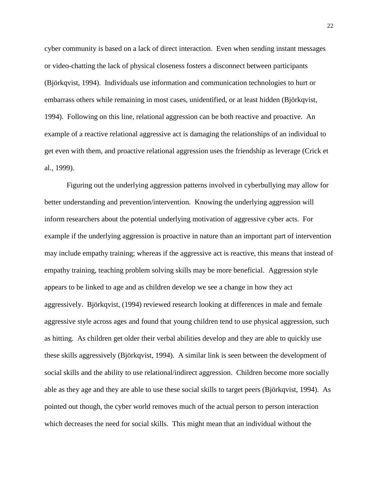cyber community is based on a lack of direct interaction. Even when sending instant messages or video-chatting the lack of physical closeness fosters a disconnect between participants (Björkqvist, 1994). Individuals use information and communication technologies to hurt or embarrass others while remaining in most cases, unidentified, or at least hidden (Björkqvist, 1994). Following on this line, relational aggression can be both reactive and proactive. An example of a reactive relational aggressive act is damaging the relationships of an individual to get even with them, and proactive relational aggression uses the friendship as leverage (Crick et al., 1999).

Figuring out the underlying aggression patterns involved in cyberbullying may allow for better understanding and prevention/intervention. Knowing the underlying aggression will inform researchers about the potential underlying motivation of aggressive cyber acts. For example if the underlying aggression is proactive in nature than an important part of intervention may include empathy training; whereas if the aggressive act is reactive, this means that instead of empathy training, teaching problem solving skills may be more beneficial. Aggression style appears to be linked to age and as children develop we see a change in how they act aggressively. Björkqvist, (1994) reviewed research looking at differences in male and female aggressive style across ages and found that young children tend to use physical aggression, such as hitting. As children get older their verbal abilities develop and they are able to quickly use these skills aggressively (Björkqvist, 1994). A similar link is seen between the development of social skills and the ability to use relational/indirect aggression. Children become more socially able as they age and they are able to use these social skills to target peers (Björkqvist, 1994). As pointed out though, the cyber world removes much of the actual person to person interaction which decreases the need for social skills. This might mean that an individual without the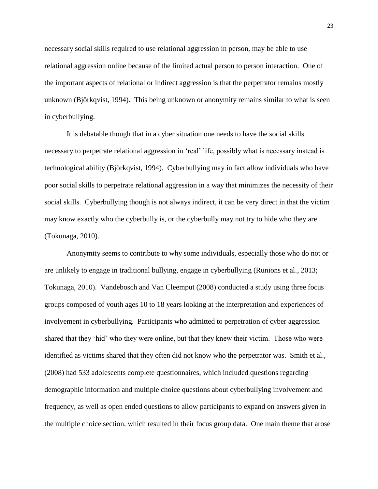necessary social skills required to use relational aggression in person, may be able to use relational aggression online because of the limited actual person to person interaction. One of the important aspects of relational or indirect aggression is that the perpetrator remains mostly unknown (Björkqvist, 1994). This being unknown or anonymity remains similar to what is seen in cyberbullying.

It is debatable though that in a cyber situation one needs to have the social skills necessary to perpetrate relational aggression in 'real' life, possibly what is necessary instead is technological ability (Björkqvist, 1994). Cyberbullying may in fact allow individuals who have poor social skills to perpetrate relational aggression in a way that minimizes the necessity of their social skills. Cyberbullying though is not always indirect, it can be very direct in that the victim may know exactly who the cyberbully is, or the cyberbully may not try to hide who they are (Tokunaga, 2010).

Anonymity seems to contribute to why some individuals, especially those who do not or are unlikely to engage in traditional bullying, engage in cyberbullying (Runions et al., 2013; Tokunaga, 2010). Vandebosch and Van Cleemput (2008) conducted a study using three focus groups composed of youth ages 10 to 18 years looking at the interpretation and experiences of involvement in cyberbullying. Participants who admitted to perpetration of cyber aggression shared that they 'hid' who they were online, but that they knew their victim. Those who were identified as victims shared that they often did not know who the perpetrator was. Smith et al., (2008) had 533 adolescents complete questionnaires, which included questions regarding demographic information and multiple choice questions about cyberbullying involvement and frequency, as well as open ended questions to allow participants to expand on answers given in the multiple choice section, which resulted in their focus group data. One main theme that arose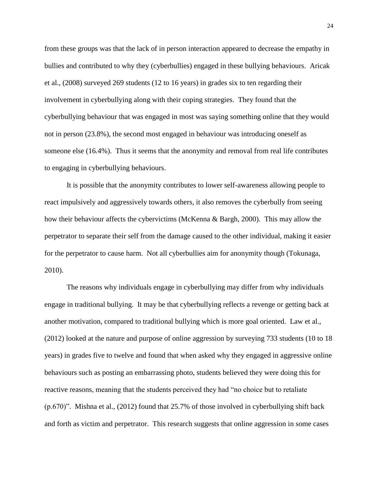from these groups was that the lack of in person interaction appeared to decrease the empathy in bullies and contributed to why they (cyberbullies) engaged in these bullying behaviours. Aricak et al., (2008) surveyed 269 students (12 to 16 years) in grades six to ten regarding their involvement in cyberbullying along with their coping strategies. They found that the cyberbullying behaviour that was engaged in most was saying something online that they would not in person (23.8%), the second most engaged in behaviour was introducing oneself as someone else (16.4%). Thus it seems that the anonymity and removal from real life contributes to engaging in cyberbullying behaviours.

It is possible that the anonymity contributes to lower self-awareness allowing people to react impulsively and aggressively towards others, it also removes the cyberbully from seeing how their behaviour affects the cybervictims (McKenna & Bargh, 2000). This may allow the perpetrator to separate their self from the damage caused to the other individual, making it easier for the perpetrator to cause harm. Not all cyberbullies aim for anonymity though (Tokunaga, 2010).

The reasons why individuals engage in cyberbullying may differ from why individuals engage in traditional bullying. It may be that cyberbullying reflects a revenge or getting back at another motivation, compared to traditional bullying which is more goal oriented. Law et al., (2012) looked at the nature and purpose of online aggression by surveying 733 students (10 to 18 years) in grades five to twelve and found that when asked why they engaged in aggressive online behaviours such as posting an embarrassing photo, students believed they were doing this for reactive reasons, meaning that the students perceived they had "no choice but to retaliate (p.670)". Mishna et al., (2012) found that 25.7% of those involved in cyberbullying shift back and forth as victim and perpetrator. This research suggests that online aggression in some cases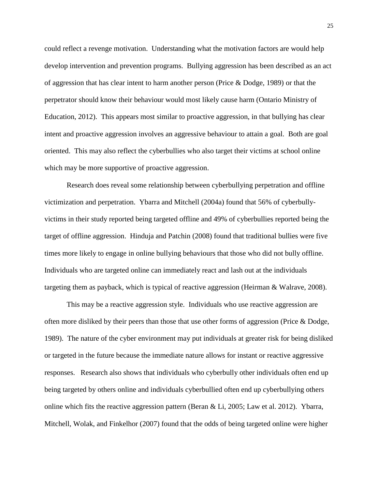could reflect a revenge motivation. Understanding what the motivation factors are would help develop intervention and prevention programs. Bullying aggression has been described as an act of aggression that has clear intent to harm another person (Price & Dodge, 1989) or that the perpetrator should know their behaviour would most likely cause harm (Ontario Ministry of Education, 2012). This appears most similar to proactive aggression, in that bullying has clear intent and proactive aggression involves an aggressive behaviour to attain a goal. Both are goal oriented. This may also reflect the cyberbullies who also target their victims at school online which may be more supportive of proactive aggression.

Research does reveal some relationship between cyberbullying perpetration and offline victimization and perpetration. Ybarra and Mitchell (2004a) found that 56% of cyberbullyvictims in their study reported being targeted offline and 49% of cyberbullies reported being the target of offline aggression. Hinduja and Patchin (2008) found that traditional bullies were five times more likely to engage in online bullying behaviours that those who did not bully offline. Individuals who are targeted online can immediately react and lash out at the individuals targeting them as payback, which is typical of reactive aggression (Heirman & Walrave, 2008).

This may be a reactive aggression style. Individuals who use reactive aggression are often more disliked by their peers than those that use other forms of aggression (Price & Dodge, 1989). The nature of the cyber environment may put individuals at greater risk for being disliked or targeted in the future because the immediate nature allows for instant or reactive aggressive responses. Research also shows that individuals who cyberbully other individuals often end up being targeted by others online and individuals cyberbullied often end up cyberbullying others online which fits the reactive aggression pattern (Beran & Li, 2005; Law et al. 2012). Ybarra, Mitchell, Wolak, and Finkelhor (2007) found that the odds of being targeted online were higher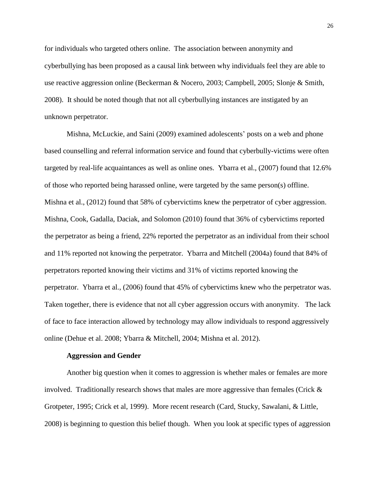for individuals who targeted others online. The association between anonymity and cyberbullying has been proposed as a causal link between why individuals feel they are able to use reactive aggression online (Beckerman & Nocero, 2003; Campbell, 2005; Slonje & Smith, 2008). It should be noted though that not all cyberbullying instances are instigated by an unknown perpetrator.

Mishna, McLuckie, and Saini (2009) examined adolescents' posts on a web and phone based counselling and referral information service and found that cyberbully-victims were often targeted by real-life acquaintances as well as online ones. Ybarra et al., (2007) found that 12.6% of those who reported being harassed online, were targeted by the same person(s) offline. Mishna et al., (2012) found that 58% of cybervictims knew the perpetrator of cyber aggression. Mishna, Cook, Gadalla, Daciak, and Solomon (2010) found that 36% of cybervictims reported the perpetrator as being a friend, 22% reported the perpetrator as an individual from their school and 11% reported not knowing the perpetrator. Ybarra and Mitchell (2004a) found that 84% of perpetrators reported knowing their victims and 31% of victims reported knowing the perpetrator. Ybarra et al., (2006) found that 45% of cybervictims knew who the perpetrator was. Taken together, there is evidence that not all cyber aggression occurs with anonymity. The lack of face to face interaction allowed by technology may allow individuals to respond aggressively online (Dehue et al. 2008; Ybarra & Mitchell, 2004; Mishna et al. 2012).

#### **Aggression and Gender**

Another big question when it comes to aggression is whether males or females are more involved. Traditionally research shows that males are more aggressive than females (Crick  $\&$ Grotpeter, 1995; Crick et al, 1999). More recent research (Card, Stucky, Sawalani, & Little, 2008) is beginning to question this belief though. When you look at specific types of aggression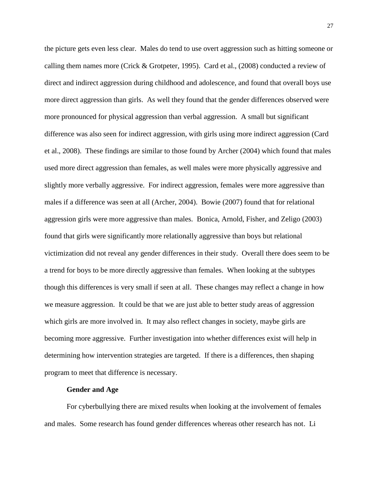the picture gets even less clear. Males do tend to use overt aggression such as hitting someone or calling them names more (Crick & Grotpeter, 1995). Card et al., (2008) conducted a review of direct and indirect aggression during childhood and adolescence, and found that overall boys use more direct aggression than girls. As well they found that the gender differences observed were more pronounced for physical aggression than verbal aggression. A small but significant difference was also seen for indirect aggression, with girls using more indirect aggression (Card et al., 2008). These findings are similar to those found by Archer (2004) which found that males used more direct aggression than females, as well males were more physically aggressive and slightly more verbally aggressive. For indirect aggression, females were more aggressive than males if a difference was seen at all (Archer, 2004). Bowie (2007) found that for relational aggression girls were more aggressive than males. Bonica, Arnold, Fisher, and Zeligo (2003) found that girls were significantly more relationally aggressive than boys but relational victimization did not reveal any gender differences in their study. Overall there does seem to be a trend for boys to be more directly aggressive than females. When looking at the subtypes though this differences is very small if seen at all. These changes may reflect a change in how we measure aggression. It could be that we are just able to better study areas of aggression which girls are more involved in. It may also reflect changes in society, maybe girls are becoming more aggressive. Further investigation into whether differences exist will help in determining how intervention strategies are targeted. If there is a differences, then shaping program to meet that difference is necessary.

#### **Gender and Age**

For cyberbullying there are mixed results when looking at the involvement of females and males. Some research has found gender differences whereas other research has not. Li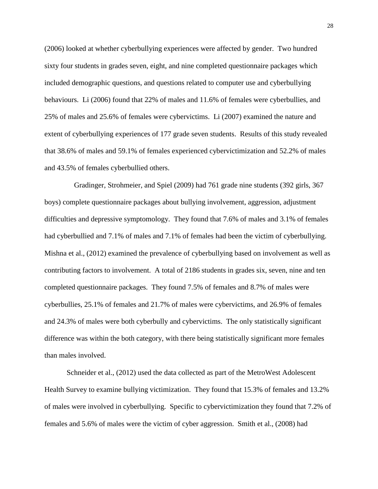(2006) looked at whether cyberbullying experiences were affected by gender. Two hundred sixty four students in grades seven, eight, and nine completed questionnaire packages which included demographic questions, and questions related to computer use and cyberbullying behaviours. Li (2006) found that 22% of males and 11.6% of females were cyberbullies, and 25% of males and 25.6% of females were cybervictims. Li (2007) examined the nature and extent of cyberbullying experiences of 177 grade seven students. Results of this study revealed that 38.6% of males and 59.1% of females experienced cybervictimization and 52.2% of males and 43.5% of females cyberbullied others.

 Gradinger, Strohmeier, and Spiel (2009) had 761 grade nine students (392 girls, 367 boys) complete questionnaire packages about bullying involvement, aggression, adjustment difficulties and depressive symptomology. They found that 7.6% of males and 3.1% of females had cyberbullied and 7.1% of males and 7.1% of females had been the victim of cyberbullying. Mishna et al., (2012) examined the prevalence of cyberbullying based on involvement as well as contributing factors to involvement. A total of 2186 students in grades six, seven, nine and ten completed questionnaire packages. They found 7.5% of females and 8.7% of males were cyberbullies, 25.1% of females and 21.7% of males were cybervictims, and 26.9% of females and 24.3% of males were both cyberbully and cybervictims. The only statistically significant difference was within the both category, with there being statistically significant more females than males involved.

Schneider et al., (2012) used the data collected as part of the MetroWest Adolescent Health Survey to examine bullying victimization. They found that 15.3% of females and 13.2% of males were involved in cyberbullying. Specific to cybervictimization they found that 7.2% of females and 5.6% of males were the victim of cyber aggression. Smith et al., (2008) had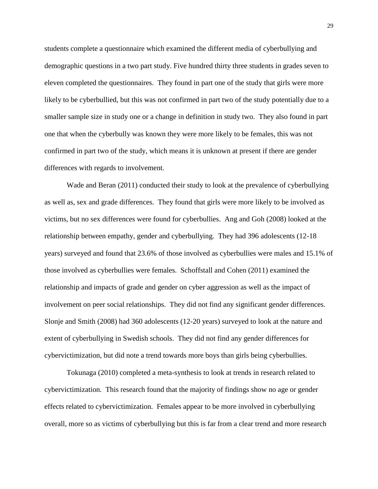students complete a questionnaire which examined the different media of cyberbullying and demographic questions in a two part study. Five hundred thirty three students in grades seven to eleven completed the questionnaires. They found in part one of the study that girls were more likely to be cyberbullied, but this was not confirmed in part two of the study potentially due to a smaller sample size in study one or a change in definition in study two. They also found in part one that when the cyberbully was known they were more likely to be females, this was not confirmed in part two of the study, which means it is unknown at present if there are gender differences with regards to involvement.

Wade and Beran (2011) conducted their study to look at the prevalence of cyberbullying as well as, sex and grade differences. They found that girls were more likely to be involved as victims, but no sex differences were found for cyberbullies. Ang and Goh (2008) looked at the relationship between empathy, gender and cyberbullying. They had 396 adolescents (12-18 years) surveyed and found that 23.6% of those involved as cyberbullies were males and 15.1% of those involved as cyberbullies were females. Schoffstall and Cohen (2011) examined the relationship and impacts of grade and gender on cyber aggression as well as the impact of involvement on peer social relationships. They did not find any significant gender differences. Slonje and Smith (2008) had 360 adolescents (12-20 years) surveyed to look at the nature and extent of cyberbullying in Swedish schools. They did not find any gender differences for cybervictimization, but did note a trend towards more boys than girls being cyberbullies.

Tokunaga (2010) completed a meta-synthesis to look at trends in research related to cybervictimization. This research found that the majority of findings show no age or gender effects related to cybervictimization. Females appear to be more involved in cyberbullying overall, more so as victims of cyberbullying but this is far from a clear trend and more research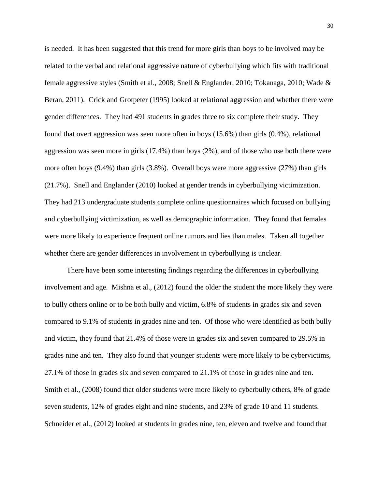is needed. It has been suggested that this trend for more girls than boys to be involved may be related to the verbal and relational aggressive nature of cyberbullying which fits with traditional female aggressive styles (Smith et al., 2008; Snell & Englander, 2010; Tokanaga, 2010; Wade & Beran, 2011). Crick and Grotpeter (1995) looked at relational aggression and whether there were gender differences. They had 491 students in grades three to six complete their study. They found that overt aggression was seen more often in boys (15.6%) than girls (0.4%), relational aggression was seen more in girls (17.4%) than boys (2%), and of those who use both there were more often boys (9.4%) than girls (3.8%). Overall boys were more aggressive (27%) than girls (21.7%). Snell and Englander (2010) looked at gender trends in cyberbullying victimization. They had 213 undergraduate students complete online questionnaires which focused on bullying and cyberbullying victimization, as well as demographic information. They found that females were more likely to experience frequent online rumors and lies than males. Taken all together whether there are gender differences in involvement in cyberbullying is unclear.

There have been some interesting findings regarding the differences in cyberbullying involvement and age. Mishna et al., (2012) found the older the student the more likely they were to bully others online or to be both bully and victim, 6.8% of students in grades six and seven compared to 9.1% of students in grades nine and ten. Of those who were identified as both bully and victim, they found that 21.4% of those were in grades six and seven compared to 29.5% in grades nine and ten. They also found that younger students were more likely to be cybervictims, 27.1% of those in grades six and seven compared to 21.1% of those in grades nine and ten. Smith et al., (2008) found that older students were more likely to cyberbully others, 8% of grade seven students, 12% of grades eight and nine students, and 23% of grade 10 and 11 students. Schneider et al., (2012) looked at students in grades nine, ten, eleven and twelve and found that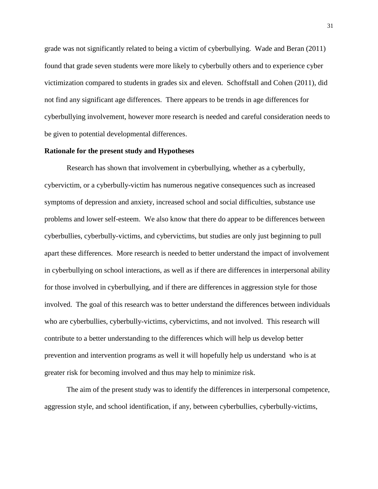grade was not significantly related to being a victim of cyberbullying. Wade and Beran (2011) found that grade seven students were more likely to cyberbully others and to experience cyber victimization compared to students in grades six and eleven. Schoffstall and Cohen (2011), did not find any significant age differences. There appears to be trends in age differences for cyberbullying involvement, however more research is needed and careful consideration needs to be given to potential developmental differences.

## **Rationale for the present study and Hypotheses**

Research has shown that involvement in cyberbullying, whether as a cyberbully, cybervictim, or a cyberbully-victim has numerous negative consequences such as increased symptoms of depression and anxiety, increased school and social difficulties, substance use problems and lower self-esteem. We also know that there do appear to be differences between cyberbullies, cyberbully-victims, and cybervictims, but studies are only just beginning to pull apart these differences. More research is needed to better understand the impact of involvement in cyberbullying on school interactions, as well as if there are differences in interpersonal ability for those involved in cyberbullying, and if there are differences in aggression style for those involved. The goal of this research was to better understand the differences between individuals who are cyberbullies, cyberbully-victims, cybervictims, and not involved. This research will contribute to a better understanding to the differences which will help us develop better prevention and intervention programs as well it will hopefully help us understand who is at greater risk for becoming involved and thus may help to minimize risk.

The aim of the present study was to identify the differences in interpersonal competence, aggression style, and school identification, if any, between cyberbullies, cyberbully-victims,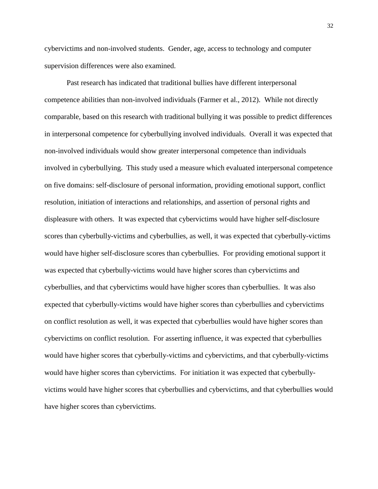cybervictims and non-involved students. Gender, age, access to technology and computer supervision differences were also examined.

Past research has indicated that traditional bullies have different interpersonal competence abilities than non-involved individuals (Farmer et al., 2012). While not directly comparable, based on this research with traditional bullying it was possible to predict differences in interpersonal competence for cyberbullying involved individuals. Overall it was expected that non-involved individuals would show greater interpersonal competence than individuals involved in cyberbullying. This study used a measure which evaluated interpersonal competence on five domains: self-disclosure of personal information, providing emotional support, conflict resolution, initiation of interactions and relationships, and assertion of personal rights and displeasure with others. It was expected that cybervictims would have higher self-disclosure scores than cyberbully-victims and cyberbullies, as well, it was expected that cyberbully-victims would have higher self-disclosure scores than cyberbullies. For providing emotional support it was expected that cyberbully-victims would have higher scores than cybervictims and cyberbullies, and that cybervictims would have higher scores than cyberbullies. It was also expected that cyberbully-victims would have higher scores than cyberbullies and cybervictims on conflict resolution as well, it was expected that cyberbullies would have higher scores than cybervictims on conflict resolution. For asserting influence, it was expected that cyberbullies would have higher scores that cyberbully-victims and cybervictims, and that cyberbully-victims would have higher scores than cybervictims. For initiation it was expected that cyberbullyvictims would have higher scores that cyberbullies and cybervictims, and that cyberbullies would have higher scores than cybervictims.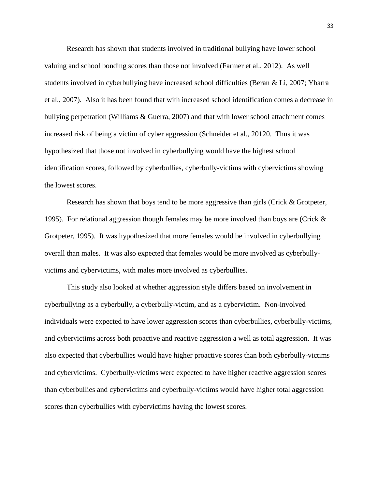Research has shown that students involved in traditional bullying have lower school valuing and school bonding scores than those not involved (Farmer et al., 2012). As well students involved in cyberbullying have increased school difficulties (Beran & Li, 2007; Ybarra et al., 2007). Also it has been found that with increased school identification comes a decrease in bullying perpetration (Williams & Guerra, 2007) and that with lower school attachment comes increased risk of being a victim of cyber aggression (Schneider et al., 20120. Thus it was hypothesized that those not involved in cyberbullying would have the highest school identification scores, followed by cyberbullies, cyberbully-victims with cybervictims showing the lowest scores.

Research has shown that boys tend to be more aggressive than girls (Crick & Grotpeter, 1995). For relational aggression though females may be more involved than boys are (Crick  $\&$ Grotpeter, 1995). It was hypothesized that more females would be involved in cyberbullying overall than males. It was also expected that females would be more involved as cyberbullyvictims and cybervictims, with males more involved as cyberbullies.

This study also looked at whether aggression style differs based on involvement in cyberbullying as a cyberbully, a cyberbully-victim, and as a cybervictim. Non-involved individuals were expected to have lower aggression scores than cyberbullies, cyberbully-victims, and cybervictims across both proactive and reactive aggression a well as total aggression. It was also expected that cyberbullies would have higher proactive scores than both cyberbully-victims and cybervictims. Cyberbully-victims were expected to have higher reactive aggression scores than cyberbullies and cybervictims and cyberbully-victims would have higher total aggression scores than cyberbullies with cybervictims having the lowest scores.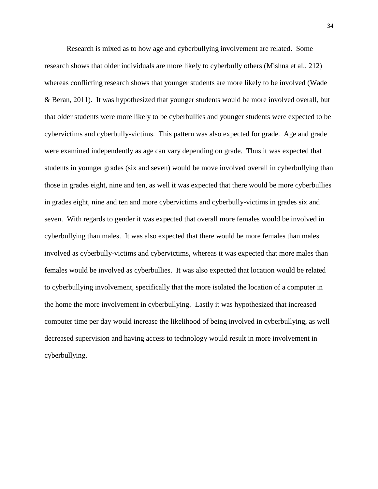Research is mixed as to how age and cyberbullying involvement are related. Some research shows that older individuals are more likely to cyberbully others (Mishna et al., 212) whereas conflicting research shows that younger students are more likely to be involved (Wade & Beran, 2011). It was hypothesized that younger students would be more involved overall, but that older students were more likely to be cyberbullies and younger students were expected to be cybervictims and cyberbully-victims. This pattern was also expected for grade. Age and grade were examined independently as age can vary depending on grade. Thus it was expected that students in younger grades (six and seven) would be move involved overall in cyberbullying than those in grades eight, nine and ten, as well it was expected that there would be more cyberbullies in grades eight, nine and ten and more cybervictims and cyberbully-victims in grades six and seven. With regards to gender it was expected that overall more females would be involved in cyberbullying than males. It was also expected that there would be more females than males involved as cyberbully-victims and cybervictims, whereas it was expected that more males than females would be involved as cyberbullies. It was also expected that location would be related to cyberbullying involvement, specifically that the more isolated the location of a computer in the home the more involvement in cyberbullying. Lastly it was hypothesized that increased computer time per day would increase the likelihood of being involved in cyberbullying, as well decreased supervision and having access to technology would result in more involvement in cyberbullying.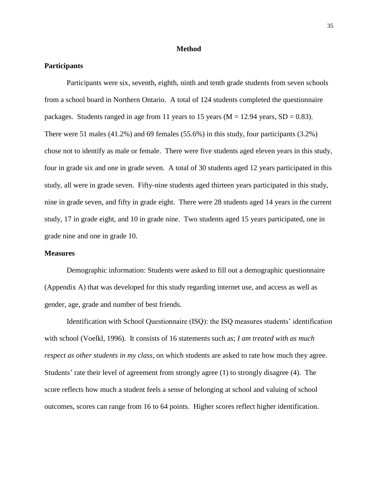## **Method**

# **Participants**

Participants were six, seventh, eighth, ninth and tenth grade students from seven schools from a school board in Northern Ontario. A total of 124 students completed the questionnaire packages. Students ranged in age from 11 years to 15 years ( $M = 12.94$  years,  $SD = 0.83$ ). There were 51 males (41.2%) and 69 females (55.6%) in this study, four participants (3.2%) chose not to identify as male or female. There were five students aged eleven years in this study, four in grade six and one in grade seven. A total of 30 students aged 12 years participated in this study, all were in grade seven. Fifty-nine students aged thirteen years participated in this study, nine in grade seven, and fifty in grade eight. There were 28 students aged 14 years in the current study, 17 in grade eight, and 10 in grade nine. Two students aged 15 years participated, one in grade nine and one in grade 10.

# **Measures**

Demographic information: Students were asked to fill out a demographic questionnaire (Appendix A) that was developed for this study regarding internet use, and access as well as gender, age, grade and number of best friends.

Identification with School Questionnaire (ISQ): the ISQ measures students' identification with school (Voelkl, 1996). It consists of 16 statements such as; *I am treated with as much respect as other students in my class*, on which students are asked to rate how much they agree. Students' rate their level of agreement from strongly agree (1) to strongly disagree (4). The score reflects how much a student feels a sense of belonging at school and valuing of school outcomes, scores can range from 16 to 64 points. Higher scores reflect higher identification.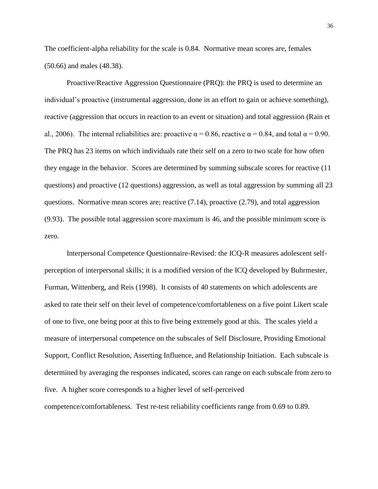The coefficient-alpha reliability for the scale is 0.84. Normative mean scores are, females (50.66) and males (48.38).

Proactive/Reactive Aggression Questionnaire (PRQ): the PRQ is used to determine an individual's proactive (instrumental aggression, done in an effort to gain or achieve something), reactive (aggression that occurs in reaction to an event or situation) and total aggression (Rain et al., 2006). The internal reliabilities are: proactive  $\alpha = 0.86$ , reactive  $\alpha = 0.84$ , and total  $\alpha = 0.90$ . The PRQ has 23 items on which individuals rate their self on a zero to two scale for how often they engage in the behavior. Scores are determined by summing subscale scores for reactive (11 questions) and proactive (12 questions) aggression, as well as total aggression by summing all 23 questions. Normative mean scores are; reactive  $(7.14)$ , proactive  $(2.79)$ , and total aggression (9.93). The possible total aggression score maximum is 46, and the possible minimum score is zero.

Interpersonal Competence Questionnaire-Revised: the ICQ-R measures adolescent selfperception of interpersonal skills; it is a modified version of the ICQ developed by Buhrmester, Furman, Wittenberg, and Reis (1998). It consists of 40 statements on which adolescents are asked to rate their self on their level of competence/comfortableness on a five point Likert scale of one to five, one being poor at this to five being extremely good at this. The scales yield a measure of interpersonal competence on the subscales of Self Disclosure, Providing Emotional Support, Conflict Resolution, Asserting Influence, and Relationship Initiation. Each subscale is determined by averaging the responses indicated, scores can range on each subscale from zero to five. A higher score corresponds to a higher level of self-perceived competence/comfortableness. Test re-test reliability coefficients range from 0.69 to 0.89.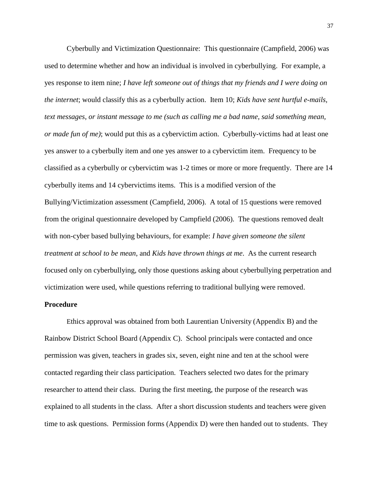Cyberbully and Victimization Questionnaire: This questionnaire (Campfield, 2006) was used to determine whether and how an individual is involved in cyberbullying. For example, a yes response to item nine; *I have left someone out of things that my friends and I were doing on the internet*; would classify this as a cyberbully action. Item 10; *Kids have sent hurtful e-mails, text messages, or instant message to me (such as calling me a bad name, said something mean, or made fun of me)*; would put this as a cybervictim action. Cyberbully-victims had at least one yes answer to a cyberbully item and one yes answer to a cybervictim item. Frequency to be classified as a cyberbully or cybervictim was 1-2 times or more or more frequently. There are 14 cyberbully items and 14 cybervictims items. This is a modified version of the Bullying/Victimization assessment (Campfield, 2006). A total of 15 questions were removed from the original questionnaire developed by Campfield (2006). The questions removed dealt with non-cyber based bullying behaviours, for example: *I have given someone the silent treatment at school to be mean*, and *Kids have thrown things at me*. As the current research focused only on cyberbullying, only those questions asking about cyberbullying perpetration and victimization were used, while questions referring to traditional bullying were removed.

# **Procedure**

Ethics approval was obtained from both Laurentian University (Appendix B) and the Rainbow District School Board (Appendix C). School principals were contacted and once permission was given, teachers in grades six, seven, eight nine and ten at the school were contacted regarding their class participation. Teachers selected two dates for the primary researcher to attend their class. During the first meeting, the purpose of the research was explained to all students in the class. After a short discussion students and teachers were given time to ask questions. Permission forms (Appendix D) were then handed out to students. They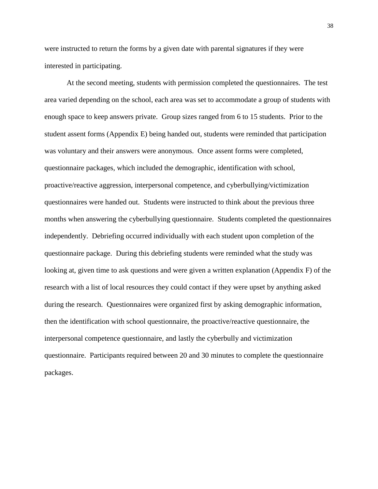were instructed to return the forms by a given date with parental signatures if they were interested in participating.

At the second meeting, students with permission completed the questionnaires. The test area varied depending on the school, each area was set to accommodate a group of students with enough space to keep answers private. Group sizes ranged from 6 to 15 students. Prior to the student assent forms (Appendix E) being handed out, students were reminded that participation was voluntary and their answers were anonymous. Once assent forms were completed, questionnaire packages, which included the demographic, identification with school, proactive/reactive aggression, interpersonal competence, and cyberbullying/victimization questionnaires were handed out. Students were instructed to think about the previous three months when answering the cyberbullying questionnaire. Students completed the questionnaires independently. Debriefing occurred individually with each student upon completion of the questionnaire package. During this debriefing students were reminded what the study was looking at, given time to ask questions and were given a written explanation (Appendix F) of the research with a list of local resources they could contact if they were upset by anything asked during the research. Questionnaires were organized first by asking demographic information, then the identification with school questionnaire, the proactive/reactive questionnaire, the interpersonal competence questionnaire, and lastly the cyberbully and victimization questionnaire. Participants required between 20 and 30 minutes to complete the questionnaire packages.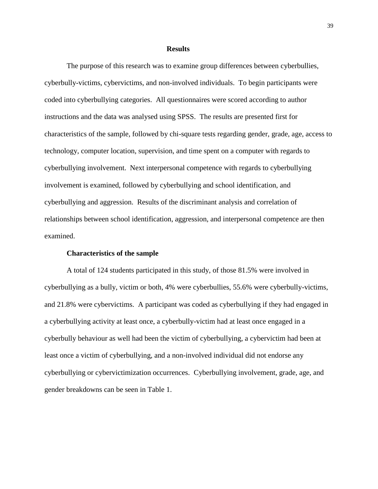#### **Results**

The purpose of this research was to examine group differences between cyberbullies, cyberbully-victims, cybervictims, and non-involved individuals. To begin participants were coded into cyberbullying categories. All questionnaires were scored according to author instructions and the data was analysed using SPSS. The results are presented first for characteristics of the sample, followed by chi-square tests regarding gender, grade, age, access to technology, computer location, supervision, and time spent on a computer with regards to cyberbullying involvement. Next interpersonal competence with regards to cyberbullying involvement is examined, followed by cyberbullying and school identification, and cyberbullying and aggression. Results of the discriminant analysis and correlation of relationships between school identification, aggression, and interpersonal competence are then examined.

## **Characteristics of the sample**

A total of 124 students participated in this study, of those 81.5% were involved in cyberbullying as a bully, victim or both, 4% were cyberbullies, 55.6% were cyberbully-victims, and 21.8% were cybervictims. A participant was coded as cyberbullying if they had engaged in a cyberbullying activity at least once, a cyberbully-victim had at least once engaged in a cyberbully behaviour as well had been the victim of cyberbullying, a cybervictim had been at least once a victim of cyberbullying, and a non-involved individual did not endorse any cyberbullying or cybervictimization occurrences. Cyberbullying involvement, grade, age, and gender breakdowns can be seen in Table 1.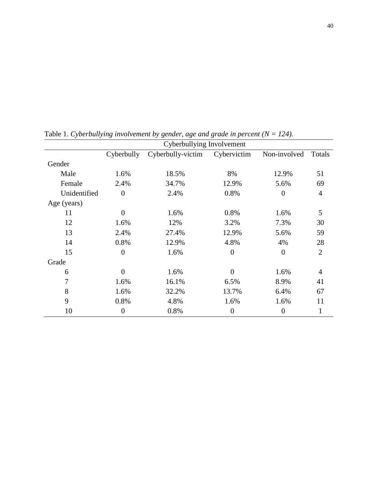|              | Cyberbullying Involvement |                   |                |                |                |  |  |
|--------------|---------------------------|-------------------|----------------|----------------|----------------|--|--|
|              | Cyberbully                | Cyberbully-victim | Cybervictim    | Non-involved   | Totals         |  |  |
| Gender       |                           |                   |                |                |                |  |  |
| Male         | 1.6%                      | 18.5%             | 8%             | 12.9%          | 51             |  |  |
| Female       | 2.4%                      | 34.7%             | 12.9%          | 5.6%           | 69             |  |  |
| Unidentified | $\overline{0}$            | 2.4%              | 0.8%           | $\overline{0}$ | $\overline{4}$ |  |  |
| Age (years)  |                           |                   |                |                |                |  |  |
| 11           | $\overline{0}$            | 1.6%              | 0.8%           | 1.6%           | 5              |  |  |
| 12           | 1.6%                      | 12%               | 3.2%           | 7.3%           | 30             |  |  |
| 13           | 2.4%                      | 27.4%             | 12.9%          | 5.6%           | 59             |  |  |
| 14           | 0.8%                      | 12.9%             | 4.8%           | 4%             | 28             |  |  |
| 15           | $\boldsymbol{0}$          | 1.6%              | $\overline{0}$ | $\overline{0}$ | $\overline{2}$ |  |  |
| Grade        |                           |                   |                |                |                |  |  |
| 6            | $\overline{0}$            | 1.6%              | $\overline{0}$ | 1.6%           | $\overline{4}$ |  |  |
| 7            | 1.6%                      | 16.1%             | 6.5%           | 8.9%           | 41             |  |  |
| 8            | 1.6%                      | 32.2%             | 13.7%          | 6.4%           | 67             |  |  |
| 9            | 0.8%                      | 4.8%              | 1.6%           | 1.6%           | 11             |  |  |
| 10           | $\boldsymbol{0}$          | 0.8%              | $\overline{0}$ | $\overline{0}$ |                |  |  |

Table 1. *Cyberbullying involvement by gender, age and grade in percent (N = 124).*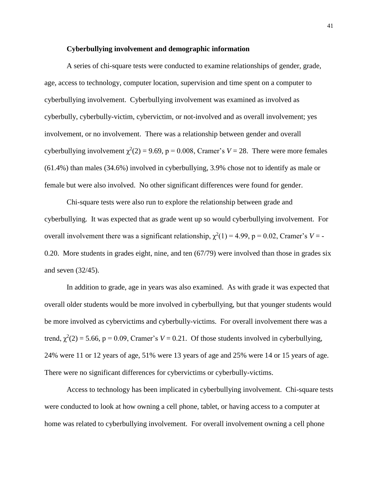## **Cyberbullying involvement and demographic information**

A series of chi-square tests were conducted to examine relationships of gender, grade, age, access to technology, computer location, supervision and time spent on a computer to cyberbullying involvement. Cyberbullying involvement was examined as involved as cyberbully, cyberbully-victim, cybervictim, or not-involved and as overall involvement; yes involvement, or no involvement. There was a relationship between gender and overall cyberbullying involvement  $\chi^2(2) = 9.69$ ,  $p = 0.008$ , Cramer's  $V = 28$ . There were more females (61.4%) than males (34.6%) involved in cyberbullying, 3.9% chose not to identify as male or female but were also involved. No other significant differences were found for gender.

Chi-square tests were also run to explore the relationship between grade and cyberbullying. It was expected that as grade went up so would cyberbullying involvement. For overall involvement there was a significant relationship,  $\chi^2(1) = 4.99$ ,  $p = 0.02$ , Cramer's  $V = -$ 0.20. More students in grades eight, nine, and ten (67/79) were involved than those in grades six and seven (32/45).

In addition to grade, age in years was also examined. As with grade it was expected that overall older students would be more involved in cyberbullying, but that younger students would be more involved as cybervictims and cyberbully-victims. For overall involvement there was a trend,  $\chi^2(2) = 5.66$ ,  $p = 0.09$ , Cramer's  $V = 0.21$ . Of those students involved in cyberbullying, 24% were 11 or 12 years of age, 51% were 13 years of age and 25% were 14 or 15 years of age. There were no significant differences for cybervictims or cyberbully-victims.

Access to technology has been implicated in cyberbullying involvement. Chi-square tests were conducted to look at how owning a cell phone, tablet, or having access to a computer at home was related to cyberbullying involvement. For overall involvement owning a cell phone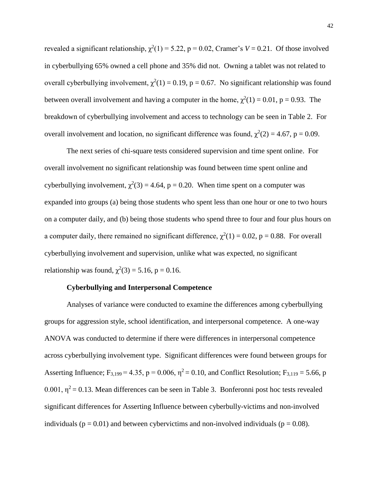revealed a significant relationship,  $\chi^2(1) = 5.22$ ,  $p = 0.02$ , Cramer's  $V = 0.21$ . Of those involved in cyberbullying 65% owned a cell phone and 35% did not. Owning a tablet was not related to overall cyberbullying involvement,  $\chi^2(1) = 0.19$ , p = 0.67. No significant relationship was found between overall involvement and having a computer in the home,  $\chi^2(1) = 0.01$ , p = 0.93. The breakdown of cyberbullying involvement and access to technology can be seen in Table 2. For overall involvement and location, no significant difference was found,  $\chi^2(2) = 4.67$ , p = 0.09.

The next series of chi-square tests considered supervision and time spent online. For overall involvement no significant relationship was found between time spent online and cyberbullying involvement,  $\chi^2(3) = 4.64$ , p = 0.20. When time spent on a computer was expanded into groups (a) being those students who spent less than one hour or one to two hours on a computer daily, and (b) being those students who spend three to four and four plus hours on a computer daily, there remained no significant difference,  $\chi^2(1) = 0.02$ , p = 0.88. For overall cyberbullying involvement and supervision, unlike what was expected, no significant relationship was found,  $\chi^2(3) = 5.16$ , p = 0.16.

# **Cyberbullying and Interpersonal Competence**

Analyses of variance were conducted to examine the differences among cyberbullying groups for aggression style, school identification, and interpersonal competence. A one-way ANOVA was conducted to determine if there were differences in interpersonal competence across cyberbullying involvement type. Significant differences were found between groups for Asserting Influence;  $F_{3,199} = 4.35$ ,  $p = 0.006$ ,  $\eta^2 = 0.10$ , and Conflict Resolution;  $F_{3,119} = 5.66$ , p 0.001,  $\eta^2$  = 0.13. Mean differences can be seen in Table 3. Bonferonni post hoc tests revealed significant differences for Asserting Influence between cyberbully-victims and non-involved individuals ( $p = 0.01$ ) and between cybervictims and non-involved individuals ( $p = 0.08$ ).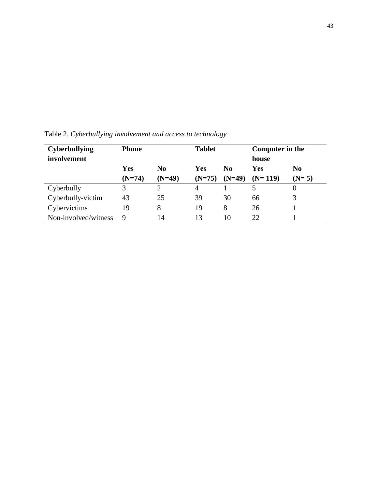| <b>Cyberbullying</b><br><b>Phone</b><br>involvement |          |                | <b>Tablet</b> |                | Computer in the<br>house |                |
|-----------------------------------------------------|----------|----------------|---------------|----------------|--------------------------|----------------|
|                                                     | Yes      | N <sub>0</sub> | Yes           | N <sub>0</sub> | Yes                      | N <sub>0</sub> |
|                                                     | $(N=74)$ | $(N=49)$       | $(N=75)$      | $(N=49)$       | $(N=119)$                | $(N=5)$        |
| Cyberbully                                          | 3        | 2              | 4             |                | 5                        | 0              |
| Cyberbully-victim                                   | 43       | 25             | 39            | 30             | 66                       | 3              |
| Cybervictims                                        | 19       | 8              | 19            | 8              | 26                       |                |
| Non-involved/witness                                | 9        | 14             | 13            | 10             | 22                       |                |

Table 2. *Cyberbullying involvement and access to technology*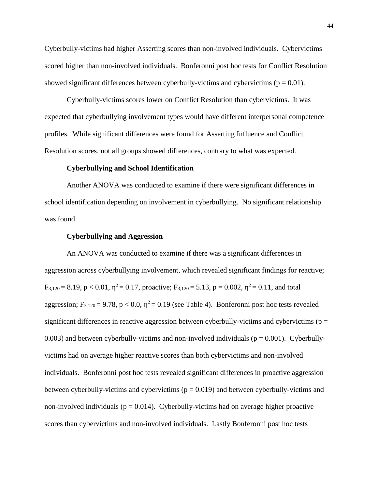Cyberbully-victims had higher Asserting scores than non-involved individuals. Cybervictims scored higher than non-involved individuals. Bonferonni post hoc tests for Conflict Resolution showed significant differences between cyberbully-victims and cybervictims ( $p = 0.01$ ).

Cyberbully-victims scores lower on Conflict Resolution than cybervictims. It was expected that cyberbullying involvement types would have different interpersonal competence profiles. While significant differences were found for Asserting Influence and Conflict Resolution scores, not all groups showed differences, contrary to what was expected.

## **Cyberbullying and School Identification**

Another ANOVA was conducted to examine if there were significant differences in school identification depending on involvement in cyberbullying. No significant relationship was found.

## **Cyberbullying and Aggression**

An ANOVA was conducted to examine if there was a significant differences in aggression across cyberbullying involvement, which revealed significant findings for reactive;  $F_{3,120} = 8.19$ ,  $p < 0.01$ ,  $\eta^2 = 0.17$ , proactive;  $F_{3,120} = 5.13$ ,  $p = 0.002$ ,  $\eta^2 = 0.11$ , and total aggression; F<sub>3,120</sub> = 9.78, p < 0.0,  $\eta^2$  = 0.19 (see Table 4). Bonferonni post hoc tests revealed significant differences in reactive aggression between cyberbully-victims and cybervictims ( $p =$ 0.003) and between cyberbully-victims and non-involved individuals ( $p = 0.001$ ). Cyberbullyvictims had on average higher reactive scores than both cybervictims and non-involved individuals. Bonferonni post hoc tests revealed significant differences in proactive aggression between cyberbully-victims and cybervictims ( $p = 0.019$ ) and between cyberbully-victims and non-involved individuals ( $p = 0.014$ ). Cyberbully-victims had on average higher proactive scores than cybervictims and non-involved individuals. Lastly Bonferonni post hoc tests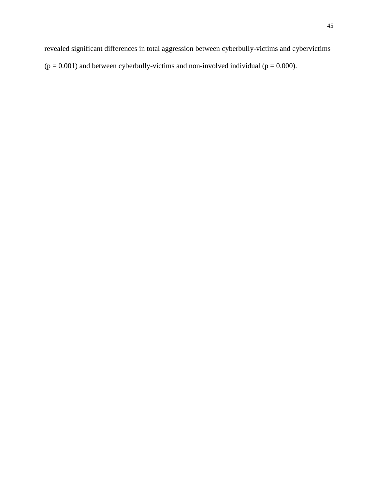revealed significant differences in total aggression between cyberbully-victims and cybervictims  $(p = 0.001)$  and between cyberbully-victims and non-involved individual  $(p = 0.000)$ .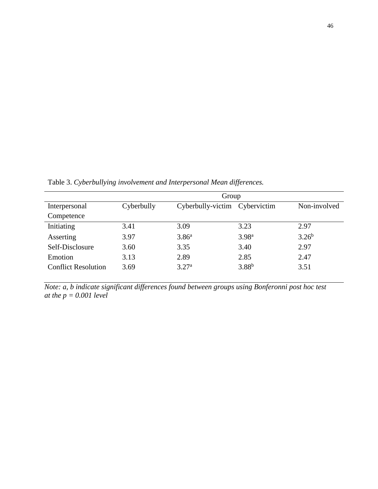|                            | Group      |                               |                   |              |  |  |
|----------------------------|------------|-------------------------------|-------------------|--------------|--|--|
| Interpersonal              | Cyberbully | Cyberbully-victim Cybervictim |                   | Non-involved |  |  |
| Competence                 |            |                               |                   |              |  |  |
| Initiating                 | 3.41       | 3.09                          | 3.23              | 2.97         |  |  |
| Asserting                  | 3.97       | 3.86 <sup>a</sup>             | 3.98 <sup>a</sup> | $3.26^{b}$   |  |  |
| Self-Disclosure            | 3.60       | 3.35                          | 3.40              | 2.97         |  |  |
| Emotion                    | 3.13       | 2.89                          | 2.85              | 2.47         |  |  |
| <b>Conflict Resolution</b> | 3.69       | 3.27 <sup>a</sup>             | $3.88^{b}$        | 3.51         |  |  |

Table 3. *Cyberbullying involvement and Interpersonal Mean differences.*

*Note: a, b indicate significant differences found between groups using Bonferonni post hoc test at the p = 0.001 level*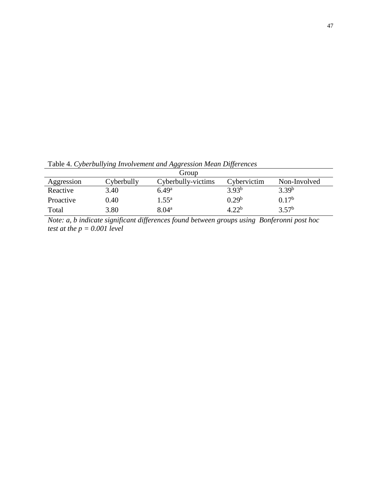Table 4. *Cyberbullying Involvement and Aggression Mean Differences*

|            |            | Group              |             |                   |
|------------|------------|--------------------|-------------|-------------------|
| Aggression | Cyberbully | Cyberbully-victims | Cybervictim | Non-Involved      |
| Reactive   | 3.40       | 6.49 <sup>a</sup>  | $3.93^{b}$  | $3.39^{b}$        |
| Proactive  | 0.40       | $1.55^{\rm a}$     | $0.29^{b}$  | $0.17^{b}$        |
| Total      | 3.80       | $8.04^{\rm a}$     | $4.22^b$    | 3.57 <sup>b</sup> |

*Note: a, b indicate significant differences found between groups using Bonferonni post hoc test at the p = 0.001 level*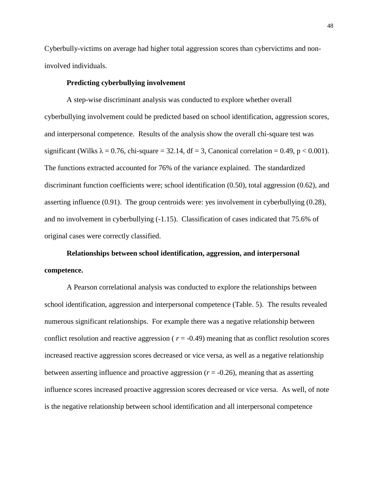Cyberbully-victims on average had higher total aggression scores than cybervictims and noninvolved individuals.

## **Predicting cyberbullying involvement**

A step-wise discriminant analysis was conducted to explore whether overall cyberbullying involvement could be predicted based on school identification, aggression scores, and interpersonal competence. Results of the analysis show the overall chi-square test was significant (Wilks  $\lambda = 0.76$ , chi-square = 32.14, df = 3, Canonical correlation = 0.49, p < 0.001). The functions extracted accounted for 76% of the variance explained. The standardized discriminant function coefficients were; school identification (0.50), total aggression (0.62), and asserting influence (0.91). The group centroids were: yes involvement in cyberbullying (0.28), and no involvement in cyberbullying (-1.15). Classification of cases indicated that 75.6% of original cases were correctly classified.

# **Relationships between school identification, aggression, and interpersonal competence.**

A Pearson correlational analysis was conducted to explore the relationships between school identification, aggression and interpersonal competence (Table. 5). The results revealed numerous significant relationships. For example there was a negative relationship between conflict resolution and reactive aggression ( $r = -0.49$ ) meaning that as conflict resolution scores increased reactive aggression scores decreased or vice versa, as well as a negative relationship between asserting influence and proactive aggression  $(r = -0.26)$ , meaning that as asserting influence scores increased proactive aggression scores decreased or vice versa. As well, of note is the negative relationship between school identification and all interpersonal competence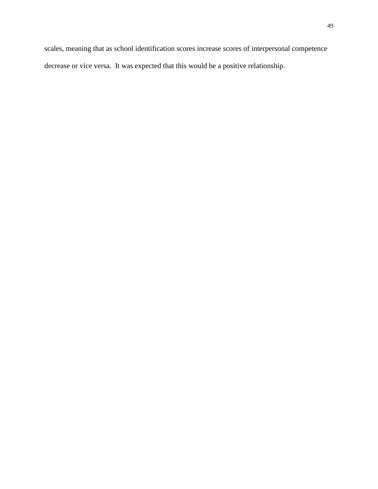scales, meaning that as school identification scores increase scores of interpersonal competence decrease or vice versa. It was expected that this would be a positive relationship.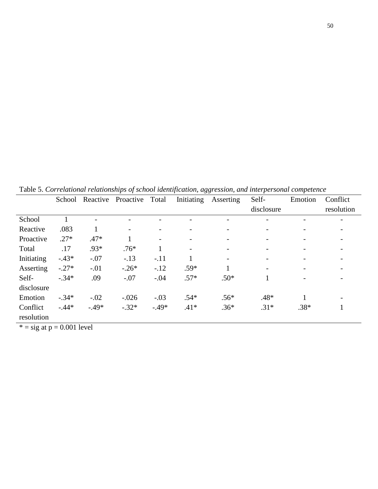|                                    | School       | Reactive                 | Proactive                | Total                    | Initiating               | Asserting | Self-<br>disclosure      | Emotion                  | Conflict<br>resolution   |
|------------------------------------|--------------|--------------------------|--------------------------|--------------------------|--------------------------|-----------|--------------------------|--------------------------|--------------------------|
|                                    |              |                          |                          |                          |                          |           |                          |                          |                          |
| School                             |              | $\overline{\phantom{0}}$ |                          |                          |                          |           | $\overline{\phantom{0}}$ | $\qquad \qquad$          | -                        |
| Reactive                           | .083         |                          | $\overline{\phantom{a}}$ | $\overline{\phantom{a}}$ |                          |           | $\overline{\phantom{a}}$ | $\overline{\phantom{a}}$ | $\overline{\phantom{a}}$ |
| Proactive                          | $.27*$       | $.47*$                   |                          | $\overline{\phantom{a}}$ |                          |           | $\overline{\phantom{a}}$ | $\overline{\phantom{a}}$ | $\overline{\phantom{a}}$ |
| Total                              | .17          | $.93*$                   | $.76*$                   |                          | $\overline{\phantom{0}}$ |           | $\overline{\phantom{a}}$ | $\overline{\phantom{a}}$ | $\overline{\phantom{a}}$ |
| Initiating                         | $-.43*$      | $-.07$                   | $-.13$                   | $-.11$                   |                          | Ξ.        | $\overline{\phantom{a}}$ | $\overline{\phantom{a}}$ | $\overline{\phantom{a}}$ |
| Asserting                          | $-.27*$      | $-.01$                   | $-.26*$                  | $-.12$                   | $.59*$                   |           | $\qquad \qquad -$        | $\overline{\phantom{a}}$ |                          |
| Self-                              | $-.34*$      | .09                      | $-.07$                   | $-.04$                   | $.57*$                   | $.50*$    |                          | $\overline{\phantom{a}}$ | $\overline{\phantom{a}}$ |
| disclosure                         |              |                          |                          |                          |                          |           |                          |                          |                          |
| Emotion                            | $-.34*$      | $-.02$                   | $-.026$                  | $-.03$                   | $.54*$                   | $.56*$    | $.48*$                   |                          | $\overline{\phantom{a}}$ |
| Conflict                           | $-.44*$      | $-.49*$                  | $-.32*$                  | $-.49*$                  | $.41*$                   | $.36*$    | $.31*$                   | $.38*$                   | -1                       |
| resolution                         |              |                          |                          |                          |                          |           |                          |                          |                          |
| <b>Calculation Control Control</b> | $0.0011$ $1$ |                          |                          |                          |                          |           |                          |                          |                          |

Table 5. *Correlational relationships of school identification, aggression, and interpersonal competence*

 $* = sig at p = 0.001 level$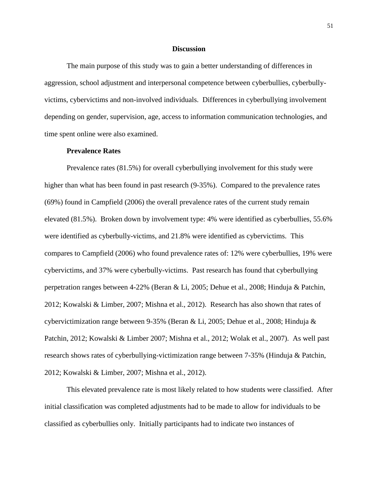### **Discussion**

The main purpose of this study was to gain a better understanding of differences in aggression, school adjustment and interpersonal competence between cyberbullies, cyberbullyvictims, cybervictims and non-involved individuals. Differences in cyberbullying involvement depending on gender, supervision, age, access to information communication technologies, and time spent online were also examined.

#### **Prevalence Rates**

Prevalence rates (81.5%) for overall cyberbullying involvement for this study were higher than what has been found in past research (9-35%). Compared to the prevalence rates (69%) found in Campfield (2006) the overall prevalence rates of the current study remain elevated (81.5%). Broken down by involvement type: 4% were identified as cyberbullies, 55.6% were identified as cyberbully-victims, and 21.8% were identified as cybervictims. This compares to Campfield (2006) who found prevalence rates of: 12% were cyberbullies, 19% were cybervictims, and 37% were cyberbully-victims. Past research has found that cyberbullying perpetration ranges between 4-22% (Beran & Li, 2005; Dehue et al., 2008; Hinduja & Patchin, 2012; Kowalski & Limber, 2007; Mishna et al., 2012). Research has also shown that rates of cybervictimization range between 9-35% (Beran & Li, 2005; Dehue et al., 2008; Hinduja & Patchin, 2012; Kowalski & Limber 2007; Mishna et al., 2012; Wolak et al., 2007). As well past research shows rates of cyberbullying-victimization range between 7-35% (Hinduja & Patchin, 2012; Kowalski & Limber, 2007; Mishna et al., 2012).

This elevated prevalence rate is most likely related to how students were classified. After initial classification was completed adjustments had to be made to allow for individuals to be classified as cyberbullies only. Initially participants had to indicate two instances of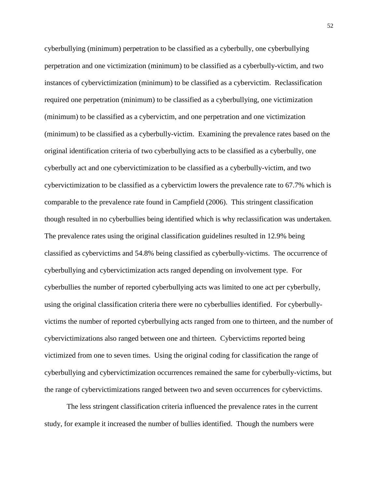cyberbullying (minimum) perpetration to be classified as a cyberbully, one cyberbullying perpetration and one victimization (minimum) to be classified as a cyberbully-victim, and two instances of cybervictimization (minimum) to be classified as a cybervictim. Reclassification required one perpetration (minimum) to be classified as a cyberbullying, one victimization (minimum) to be classified as a cybervictim, and one perpetration and one victimization (minimum) to be classified as a cyberbully-victim. Examining the prevalence rates based on the original identification criteria of two cyberbullying acts to be classified as a cyberbully, one cyberbully act and one cybervictimization to be classified as a cyberbully-victim, and two cybervictimization to be classified as a cybervictim lowers the prevalence rate to 67.7% which is comparable to the prevalence rate found in Campfield (2006). This stringent classification though resulted in no cyberbullies being identified which is why reclassification was undertaken. The prevalence rates using the original classification guidelines resulted in 12.9% being classified as cybervictims and 54.8% being classified as cyberbully-victims. The occurrence of cyberbullying and cybervictimization acts ranged depending on involvement type. For cyberbullies the number of reported cyberbullying acts was limited to one act per cyberbully, using the original classification criteria there were no cyberbullies identified. For cyberbullyvictims the number of reported cyberbullying acts ranged from one to thirteen, and the number of cybervictimizations also ranged between one and thirteen. Cybervictims reported being victimized from one to seven times. Using the original coding for classification the range of cyberbullying and cybervictimization occurrences remained the same for cyberbully-victims, but the range of cybervictimizations ranged between two and seven occurrences for cybervictims.

The less stringent classification criteria influenced the prevalence rates in the current study, for example it increased the number of bullies identified. Though the numbers were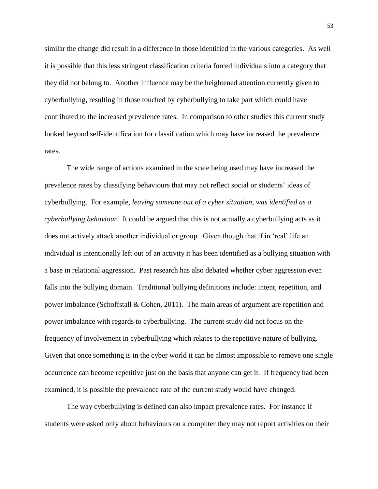similar the change did result in a difference in those identified in the various categories. As well it is possible that this less stringent classification criteria forced individuals into a category that they did not belong to. Another influence may be the heightened attention currently given to cyberbullying, resulting in those touched by cyberbullying to take part which could have contributed to the increased prevalence rates. In comparison to other studies this current study looked beyond self-identification for classification which may have increased the prevalence rates.

The wide range of actions examined in the scale being used may have increased the prevalence rates by classifying behaviours that may not reflect social or students' ideas of cyberbullying. For example, *leaving someone out of a cyber situation, was identified as a cyberbullying behaviour.* It could be argued that this is not actually a cyberbullying acts as it does not actively attack another individual or group. Given though that if in 'real' life an individual is intentionally left out of an activity it has been identified as a bullying situation with a base in relational aggression. Past research has also debated whether cyber aggression even falls into the bullying domain. Traditional bullying definitions include: intent, repetition, and power imbalance (Schoffstall & Cohen, 2011). The main areas of argument are repetition and power imbalance with regards to cyberbullying. The current study did not focus on the frequency of involvement in cyberbullying which relates to the repetitive nature of bullying. Given that once something is in the cyber world it can be almost impossible to remove one single occurrence can become repetitive just on the basis that anyone can get it. If frequency had been examined, it is possible the prevalence rate of the current study would have changed.

The way cyberbullying is defined can also impact prevalence rates. For instance if students were asked only about behaviours on a computer they may not report activities on their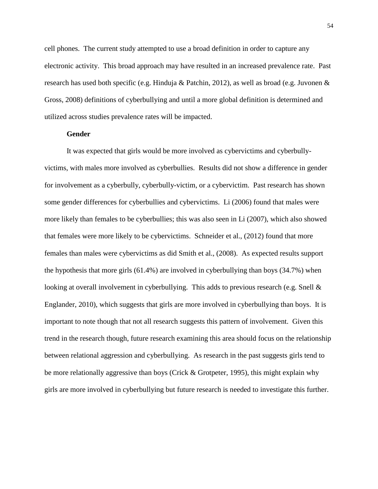cell phones. The current study attempted to use a broad definition in order to capture any electronic activity. This broad approach may have resulted in an increased prevalence rate. Past research has used both specific (e.g. Hinduja & Patchin, 2012), as well as broad (e.g. Juvonen & Gross, 2008) definitions of cyberbullying and until a more global definition is determined and utilized across studies prevalence rates will be impacted.

## **Gender**

It was expected that girls would be more involved as cybervictims and cyberbullyvictims, with males more involved as cyberbullies. Results did not show a difference in gender for involvement as a cyberbully, cyberbully-victim, or a cybervictim. Past research has shown some gender differences for cyberbullies and cybervictims. Li (2006) found that males were more likely than females to be cyberbullies; this was also seen in Li (2007), which also showed that females were more likely to be cybervictims. Schneider et al., (2012) found that more females than males were cybervictims as did Smith et al., (2008). As expected results support the hypothesis that more girls (61.4%) are involved in cyberbullying than boys (34.7%) when looking at overall involvement in cyberbullying. This adds to previous research (e.g. Snell & Englander, 2010), which suggests that girls are more involved in cyberbullying than boys. It is important to note though that not all research suggests this pattern of involvement. Given this trend in the research though, future research examining this area should focus on the relationship between relational aggression and cyberbullying. As research in the past suggests girls tend to be more relationally aggressive than boys (Crick & Grotpeter, 1995), this might explain why girls are more involved in cyberbullying but future research is needed to investigate this further.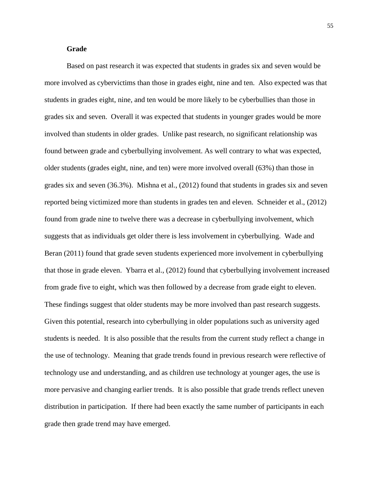# **Grade**

Based on past research it was expected that students in grades six and seven would be more involved as cybervictims than those in grades eight, nine and ten. Also expected was that students in grades eight, nine, and ten would be more likely to be cyberbullies than those in grades six and seven. Overall it was expected that students in younger grades would be more involved than students in older grades. Unlike past research, no significant relationship was found between grade and cyberbullying involvement. As well contrary to what was expected, older students (grades eight, nine, and ten) were more involved overall (63%) than those in grades six and seven (36.3%). Mishna et al., (2012) found that students in grades six and seven reported being victimized more than students in grades ten and eleven. Schneider et al., (2012) found from grade nine to twelve there was a decrease in cyberbullying involvement, which suggests that as individuals get older there is less involvement in cyberbullying. Wade and Beran (2011) found that grade seven students experienced more involvement in cyberbullying that those in grade eleven. Ybarra et al., (2012) found that cyberbullying involvement increased from grade five to eight, which was then followed by a decrease from grade eight to eleven. These findings suggest that older students may be more involved than past research suggests. Given this potential, research into cyberbullying in older populations such as university aged students is needed. It is also possible that the results from the current study reflect a change in the use of technology. Meaning that grade trends found in previous research were reflective of technology use and understanding, and as children use technology at younger ages, the use is more pervasive and changing earlier trends. It is also possible that grade trends reflect uneven distribution in participation. If there had been exactly the same number of participants in each grade then grade trend may have emerged.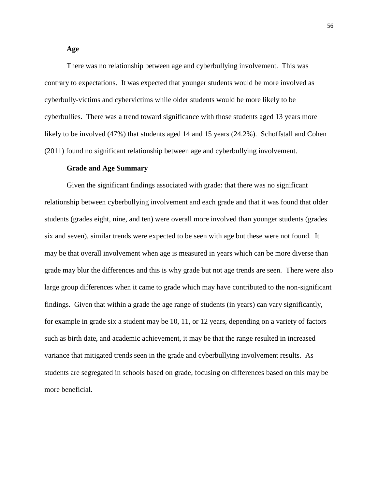There was no relationship between age and cyberbullying involvement. This was contrary to expectations. It was expected that younger students would be more involved as cyberbully-victims and cybervictims while older students would be more likely to be cyberbullies. There was a trend toward significance with those students aged 13 years more likely to be involved (47%) that students aged 14 and 15 years (24.2%). Schoffstall and Cohen (2011) found no significant relationship between age and cyberbullying involvement.

#### **Grade and Age Summary**

Given the significant findings associated with grade: that there was no significant relationship between cyberbullying involvement and each grade and that it was found that older students (grades eight, nine, and ten) were overall more involved than younger students (grades six and seven), similar trends were expected to be seen with age but these were not found. It may be that overall involvement when age is measured in years which can be more diverse than grade may blur the differences and this is why grade but not age trends are seen. There were also large group differences when it came to grade which may have contributed to the non-significant findings. Given that within a grade the age range of students (in years) can vary significantly, for example in grade six a student may be 10, 11, or 12 years, depending on a variety of factors such as birth date, and academic achievement, it may be that the range resulted in increased variance that mitigated trends seen in the grade and cyberbullying involvement results. As students are segregated in schools based on grade, focusing on differences based on this may be more beneficial.

# **Age**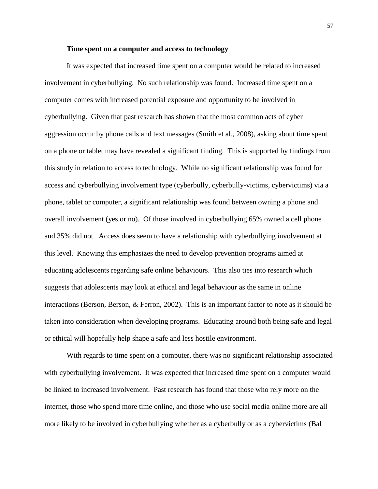# **Time spent on a computer and access to technology**

It was expected that increased time spent on a computer would be related to increased involvement in cyberbullying. No such relationship was found. Increased time spent on a computer comes with increased potential exposure and opportunity to be involved in cyberbullying. Given that past research has shown that the most common acts of cyber aggression occur by phone calls and text messages (Smith et al., 2008), asking about time spent on a phone or tablet may have revealed a significant finding. This is supported by findings from this study in relation to access to technology. While no significant relationship was found for access and cyberbullying involvement type (cyberbully, cyberbully-victims, cybervictims) via a phone, tablet or computer, a significant relationship was found between owning a phone and overall involvement (yes or no). Of those involved in cyberbullying 65% owned a cell phone and 35% did not. Access does seem to have a relationship with cyberbullying involvement at this level. Knowing this emphasizes the need to develop prevention programs aimed at educating adolescents regarding safe online behaviours. This also ties into research which suggests that adolescents may look at ethical and legal behaviour as the same in online interactions (Berson, Berson, & Ferron, 2002). This is an important factor to note as it should be taken into consideration when developing programs. Educating around both being safe and legal or ethical will hopefully help shape a safe and less hostile environment.

With regards to time spent on a computer, there was no significant relationship associated with cyberbullying involvement. It was expected that increased time spent on a computer would be linked to increased involvement. Past research has found that those who rely more on the internet, those who spend more time online, and those who use social media online more are all more likely to be involved in cyberbullying whether as a cyberbully or as a cybervictims (Bal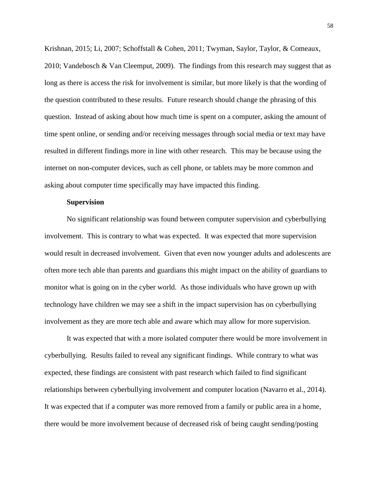Krishnan, 2015; Li, 2007; Schoffstall & Cohen, 2011; Twyman, Saylor, Taylor, & Comeaux, 2010; Vandebosch & Van Cleemput, 2009). The findings from this research may suggest that as long as there is access the risk for involvement is similar, but more likely is that the wording of the question contributed to these results. Future research should change the phrasing of this question. Instead of asking about how much time is spent on a computer, asking the amount of time spent online, or sending and/or receiving messages through social media or text may have resulted in different findings more in line with other research. This may be because using the internet on non-computer devices, such as cell phone, or tablets may be more common and asking about computer time specifically may have impacted this finding.

## **Supervision**

No significant relationship was found between computer supervision and cyberbullying involvement. This is contrary to what was expected. It was expected that more supervision would result in decreased involvement. Given that even now younger adults and adolescents are often more tech able than parents and guardians this might impact on the ability of guardians to monitor what is going on in the cyber world. As those individuals who have grown up with technology have children we may see a shift in the impact supervision has on cyberbullying involvement as they are more tech able and aware which may allow for more supervision.

It was expected that with a more isolated computer there would be more involvement in cyberbullying. Results failed to reveal any significant findings. While contrary to what was expected, these findings are consistent with past research which failed to find significant relationships between cyberbullying involvement and computer location (Navarro et al., 2014). It was expected that if a computer was more removed from a family or public area in a home, there would be more involvement because of decreased risk of being caught sending/posting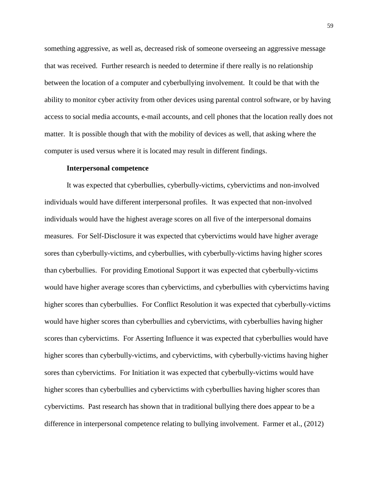something aggressive, as well as, decreased risk of someone overseeing an aggressive message that was received. Further research is needed to determine if there really is no relationship between the location of a computer and cyberbullying involvement. It could be that with the ability to monitor cyber activity from other devices using parental control software, or by having access to social media accounts, e-mail accounts, and cell phones that the location really does not matter. It is possible though that with the mobility of devices as well, that asking where the computer is used versus where it is located may result in different findings.

#### **Interpersonal competence**

It was expected that cyberbullies, cyberbully-victims, cybervictims and non-involved individuals would have different interpersonal profiles. It was expected that non-involved individuals would have the highest average scores on all five of the interpersonal domains measures. For Self-Disclosure it was expected that cybervictims would have higher average sores than cyberbully-victims, and cyberbullies, with cyberbully-victims having higher scores than cyberbullies. For providing Emotional Support it was expected that cyberbully-victims would have higher average scores than cybervictims, and cyberbullies with cybervictims having higher scores than cyberbullies. For Conflict Resolution it was expected that cyberbully-victims would have higher scores than cyberbullies and cybervictims, with cyberbullies having higher scores than cybervictims. For Asserting Influence it was expected that cyberbullies would have higher scores than cyberbully-victims, and cybervictims, with cyberbully-victims having higher sores than cybervictims. For Initiation it was expected that cyberbully-victims would have higher scores than cyberbullies and cybervictims with cyberbullies having higher scores than cybervictims. Past research has shown that in traditional bullying there does appear to be a difference in interpersonal competence relating to bullying involvement. Farmer et al., (2012)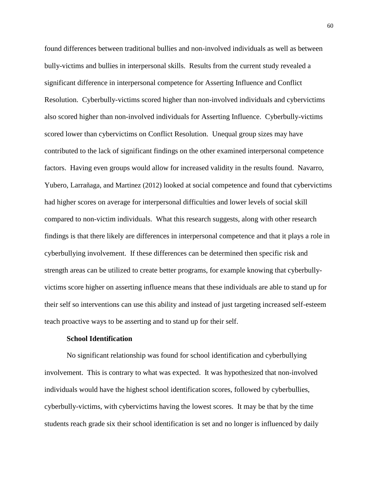found differences between traditional bullies and non-involved individuals as well as between bully-victims and bullies in interpersonal skills. Results from the current study revealed a significant difference in interpersonal competence for Asserting Influence and Conflict Resolution. Cyberbully-victims scored higher than non-involved individuals and cybervictims also scored higher than non-involved individuals for Asserting Influence. Cyberbully-victims scored lower than cybervictims on Conflict Resolution. Unequal group sizes may have contributed to the lack of significant findings on the other examined interpersonal competence factors. Having even groups would allow for increased validity in the results found. Navarro, Yubero, Larrañaga, and Martinez (2012) looked at social competence and found that cybervictims had higher scores on average for interpersonal difficulties and lower levels of social skill compared to non-victim individuals. What this research suggests, along with other research findings is that there likely are differences in interpersonal competence and that it plays a role in cyberbullying involvement. If these differences can be determined then specific risk and strength areas can be utilized to create better programs, for example knowing that cyberbullyvictims score higher on asserting influence means that these individuals are able to stand up for their self so interventions can use this ability and instead of just targeting increased self-esteem teach proactive ways to be asserting and to stand up for their self.

## **School Identification**

No significant relationship was found for school identification and cyberbullying involvement. This is contrary to what was expected. It was hypothesized that non-involved individuals would have the highest school identification scores, followed by cyberbullies, cyberbully-victims, with cybervictims having the lowest scores. It may be that by the time students reach grade six their school identification is set and no longer is influenced by daily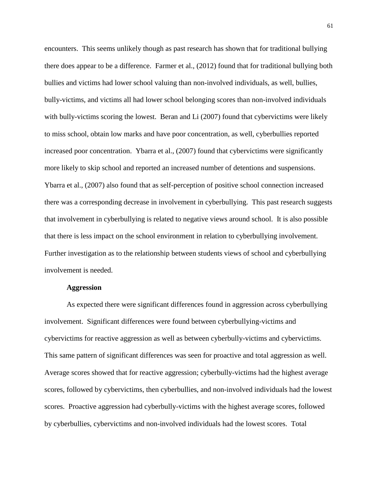encounters. This seems unlikely though as past research has shown that for traditional bullying there does appear to be a difference. Farmer et al., (2012) found that for traditional bullying both bullies and victims had lower school valuing than non-involved individuals, as well, bullies, bully-victims, and victims all had lower school belonging scores than non-involved individuals with bully-victims scoring the lowest. Beran and Li (2007) found that cybervictims were likely to miss school, obtain low marks and have poor concentration, as well, cyberbullies reported increased poor concentration. Ybarra et al., (2007) found that cybervictims were significantly more likely to skip school and reported an increased number of detentions and suspensions. Ybarra et al., (2007) also found that as self-perception of positive school connection increased there was a corresponding decrease in involvement in cyberbullying. This past research suggests that involvement in cyberbullying is related to negative views around school. It is also possible that there is less impact on the school environment in relation to cyberbullying involvement. Further investigation as to the relationship between students views of school and cyberbullying involvement is needed.

# **Aggression**

As expected there were significant differences found in aggression across cyberbullying involvement. Significant differences were found between cyberbullying-victims and cybervictims for reactive aggression as well as between cyberbully-victims and cybervictims. This same pattern of significant differences was seen for proactive and total aggression as well. Average scores showed that for reactive aggression; cyberbully-victims had the highest average scores, followed by cybervictims, then cyberbullies, and non-involved individuals had the lowest scores. Proactive aggression had cyberbully-victims with the highest average scores, followed by cyberbullies, cybervictims and non-involved individuals had the lowest scores. Total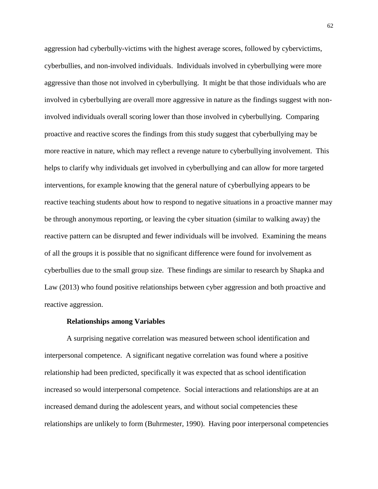aggression had cyberbully-victims with the highest average scores, followed by cybervictims, cyberbullies, and non-involved individuals. Individuals involved in cyberbullying were more aggressive than those not involved in cyberbullying. It might be that those individuals who are involved in cyberbullying are overall more aggressive in nature as the findings suggest with noninvolved individuals overall scoring lower than those involved in cyberbullying. Comparing proactive and reactive scores the findings from this study suggest that cyberbullying may be more reactive in nature, which may reflect a revenge nature to cyberbullying involvement. This helps to clarify why individuals get involved in cyberbullying and can allow for more targeted interventions, for example knowing that the general nature of cyberbullying appears to be reactive teaching students about how to respond to negative situations in a proactive manner may be through anonymous reporting, or leaving the cyber situation (similar to walking away) the reactive pattern can be disrupted and fewer individuals will be involved. Examining the means of all the groups it is possible that no significant difference were found for involvement as cyberbullies due to the small group size. These findings are similar to research by Shapka and Law (2013) who found positive relationships between cyber aggression and both proactive and reactive aggression.

## **Relationships among Variables**

A surprising negative correlation was measured between school identification and interpersonal competence. A significant negative correlation was found where a positive relationship had been predicted, specifically it was expected that as school identification increased so would interpersonal competence. Social interactions and relationships are at an increased demand during the adolescent years, and without social competencies these relationships are unlikely to form (Buhrmester, 1990). Having poor interpersonal competencies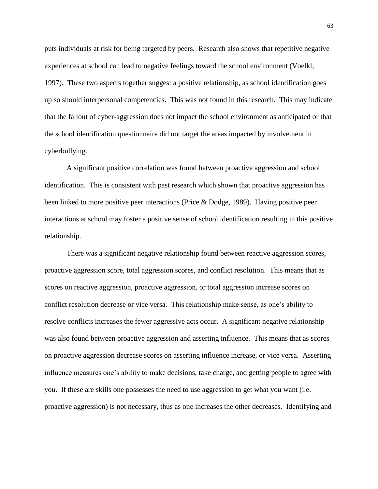puts individuals at risk for being targeted by peers. Research also shows that repetitive negative experiences at school can lead to negative feelings toward the school environment (Voelkl, 1997). These two aspects together suggest a positive relationship, as school identification goes up so should interpersonal competencies. This was not found in this research. This may indicate that the fallout of cyber-aggression does not impact the school environment as anticipated or that the school identification questionnaire did not target the areas impacted by involvement in cyberbullying.

A significant positive correlation was found between proactive aggression and school identification. This is consistent with past research which shown that proactive aggression has been linked to more positive peer interactions (Price & Dodge, 1989). Having positive peer interactions at school may foster a positive sense of school identification resulting in this positive relationship.

There was a significant negative relationship found between reactive aggression scores, proactive aggression score, total aggression scores, and conflict resolution. This means that as scores on reactive aggression, proactive aggression, or total aggression increase scores on conflict resolution decrease or vice versa. This relationship make sense, as one's ability to resolve conflicts increases the fewer aggressive acts occur. A significant negative relationship was also found between proactive aggression and asserting influence. This means that as scores on proactive aggression decrease scores on asserting influence increase, or vice versa. Asserting influence measures one's ability to make decisions, take charge, and getting people to agree with you. If these are skills one possesses the need to use aggression to get what you want (i.e. proactive aggression) is not necessary, thus as one increases the other decreases. Identifying and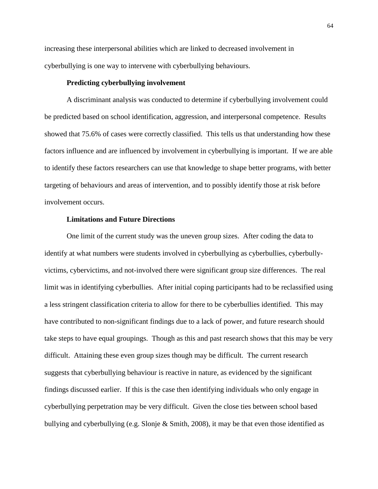increasing these interpersonal abilities which are linked to decreased involvement in cyberbullying is one way to intervene with cyberbullying behaviours.

## **Predicting cyberbullying involvement**

A discriminant analysis was conducted to determine if cyberbullying involvement could be predicted based on school identification, aggression, and interpersonal competence. Results showed that 75.6% of cases were correctly classified. This tells us that understanding how these factors influence and are influenced by involvement in cyberbullying is important. If we are able to identify these factors researchers can use that knowledge to shape better programs, with better targeting of behaviours and areas of intervention, and to possibly identify those at risk before involvement occurs.

## **Limitations and Future Directions**

One limit of the current study was the uneven group sizes. After coding the data to identify at what numbers were students involved in cyberbullying as cyberbullies, cyberbullyvictims, cybervictims, and not-involved there were significant group size differences. The real limit was in identifying cyberbullies. After initial coping participants had to be reclassified using a less stringent classification criteria to allow for there to be cyberbullies identified. This may have contributed to non-significant findings due to a lack of power, and future research should take steps to have equal groupings. Though as this and past research shows that this may be very difficult. Attaining these even group sizes though may be difficult. The current research suggests that cyberbullying behaviour is reactive in nature, as evidenced by the significant findings discussed earlier. If this is the case then identifying individuals who only engage in cyberbullying perpetration may be very difficult. Given the close ties between school based bullying and cyberbullying (e.g. Slonje & Smith, 2008), it may be that even those identified as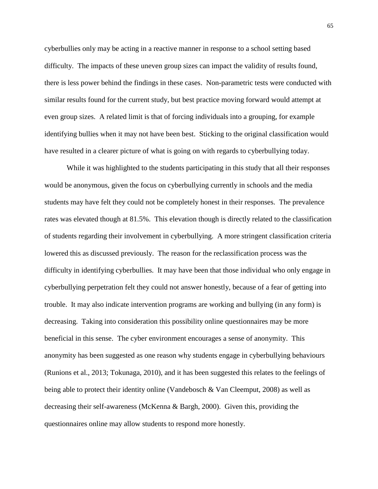cyberbullies only may be acting in a reactive manner in response to a school setting based difficulty. The impacts of these uneven group sizes can impact the validity of results found, there is less power behind the findings in these cases. Non-parametric tests were conducted with similar results found for the current study, but best practice moving forward would attempt at even group sizes. A related limit is that of forcing individuals into a grouping, for example identifying bullies when it may not have been best. Sticking to the original classification would have resulted in a clearer picture of what is going on with regards to cyberbullying today.

While it was highlighted to the students participating in this study that all their responses would be anonymous, given the focus on cyberbullying currently in schools and the media students may have felt they could not be completely honest in their responses. The prevalence rates was elevated though at 81.5%. This elevation though is directly related to the classification of students regarding their involvement in cyberbullying. A more stringent classification criteria lowered this as discussed previously. The reason for the reclassification process was the difficulty in identifying cyberbullies. It may have been that those individual who only engage in cyberbullying perpetration felt they could not answer honestly, because of a fear of getting into trouble. It may also indicate intervention programs are working and bullying (in any form) is decreasing. Taking into consideration this possibility online questionnaires may be more beneficial in this sense. The cyber environment encourages a sense of anonymity. This anonymity has been suggested as one reason why students engage in cyberbullying behaviours (Runions et al., 2013; Tokunaga, 2010), and it has been suggested this relates to the feelings of being able to protect their identity online (Vandebosch & Van Cleemput, 2008) as well as decreasing their self-awareness (McKenna & Bargh, 2000). Given this, providing the questionnaires online may allow students to respond more honestly.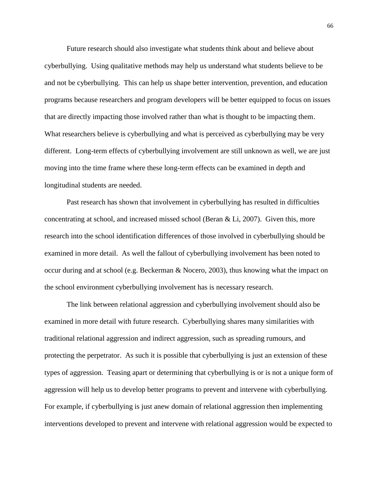Future research should also investigate what students think about and believe about cyberbullying. Using qualitative methods may help us understand what students believe to be and not be cyberbullying. This can help us shape better intervention, prevention, and education programs because researchers and program developers will be better equipped to focus on issues that are directly impacting those involved rather than what is thought to be impacting them. What researchers believe is cyberbullying and what is perceived as cyberbullying may be very different. Long-term effects of cyberbullying involvement are still unknown as well, we are just moving into the time frame where these long-term effects can be examined in depth and longitudinal students are needed.

Past research has shown that involvement in cyberbullying has resulted in difficulties concentrating at school, and increased missed school (Beran & Li, 2007). Given this, more research into the school identification differences of those involved in cyberbullying should be examined in more detail. As well the fallout of cyberbullying involvement has been noted to occur during and at school (e.g. Beckerman & Nocero, 2003), thus knowing what the impact on the school environment cyberbullying involvement has is necessary research.

The link between relational aggression and cyberbullying involvement should also be examined in more detail with future research. Cyberbullying shares many similarities with traditional relational aggression and indirect aggression, such as spreading rumours, and protecting the perpetrator. As such it is possible that cyberbullying is just an extension of these types of aggression. Teasing apart or determining that cyberbullying is or is not a unique form of aggression will help us to develop better programs to prevent and intervene with cyberbullying. For example, if cyberbullying is just anew domain of relational aggression then implementing interventions developed to prevent and intervene with relational aggression would be expected to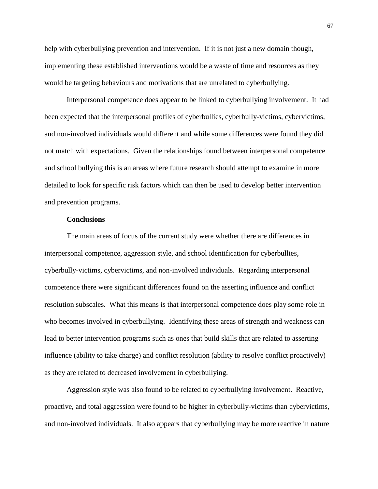help with cyberbullying prevention and intervention. If it is not just a new domain though, implementing these established interventions would be a waste of time and resources as they would be targeting behaviours and motivations that are unrelated to cyberbullying.

Interpersonal competence does appear to be linked to cyberbullying involvement. It had been expected that the interpersonal profiles of cyberbullies, cyberbully-victims, cybervictims, and non-involved individuals would different and while some differences were found they did not match with expectations. Given the relationships found between interpersonal competence and school bullying this is an areas where future research should attempt to examine in more detailed to look for specific risk factors which can then be used to develop better intervention and prevention programs.

#### **Conclusions**

The main areas of focus of the current study were whether there are differences in interpersonal competence, aggression style, and school identification for cyberbullies, cyberbully-victims, cybervictims, and non-involved individuals. Regarding interpersonal competence there were significant differences found on the asserting influence and conflict resolution subscales. What this means is that interpersonal competence does play some role in who becomes involved in cyberbullying. Identifying these areas of strength and weakness can lead to better intervention programs such as ones that build skills that are related to asserting influence (ability to take charge) and conflict resolution (ability to resolve conflict proactively) as they are related to decreased involvement in cyberbullying.

Aggression style was also found to be related to cyberbullying involvement. Reactive, proactive, and total aggression were found to be higher in cyberbully-victims than cybervictims, and non-involved individuals. It also appears that cyberbullying may be more reactive in nature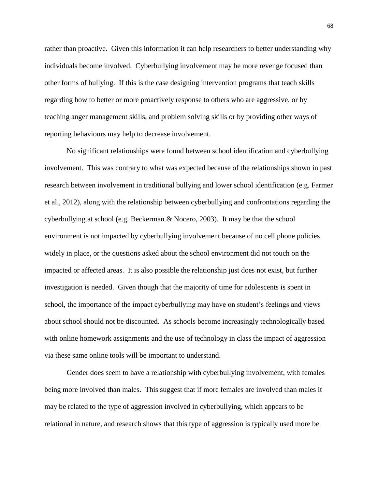rather than proactive. Given this information it can help researchers to better understanding why individuals become involved. Cyberbullying involvement may be more revenge focused than other forms of bullying. If this is the case designing intervention programs that teach skills regarding how to better or more proactively response to others who are aggressive, or by teaching anger management skills, and problem solving skills or by providing other ways of reporting behaviours may help to decrease involvement.

No significant relationships were found between school identification and cyberbullying involvement. This was contrary to what was expected because of the relationships shown in past research between involvement in traditional bullying and lower school identification (e.g. Farmer et al., 2012), along with the relationship between cyberbullying and confrontations regarding the cyberbullying at school (e.g. Beckerman & Nocero, 2003). It may be that the school environment is not impacted by cyberbullying involvement because of no cell phone policies widely in place, or the questions asked about the school environment did not touch on the impacted or affected areas. It is also possible the relationship just does not exist, but further investigation is needed. Given though that the majority of time for adolescents is spent in school, the importance of the impact cyberbullying may have on student's feelings and views about school should not be discounted. As schools become increasingly technologically based with online homework assignments and the use of technology in class the impact of aggression via these same online tools will be important to understand.

Gender does seem to have a relationship with cyberbullying involvement, with females being more involved than males. This suggest that if more females are involved than males it may be related to the type of aggression involved in cyberbullying, which appears to be relational in nature, and research shows that this type of aggression is typically used more be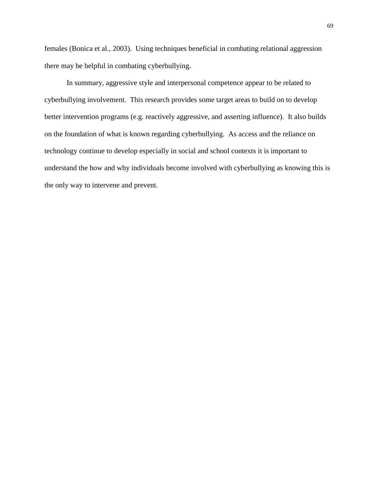females (Bonica et al., 2003). Using techniques beneficial in combating relational aggression there may be helpful in combating cyberbullying.

In summary, aggressive style and interpersonal competence appear to be related to cyberbullying involvement. This research provides some target areas to build on to develop better intervention programs (e.g. reactively aggressive, and asserting influence). It also builds on the foundation of what is known regarding cyberbullying. As access and the reliance on technology continue to develop especially in social and school contexts it is important to understand the how and why individuals become involved with cyberbullying as knowing this is the only way to intervene and prevent.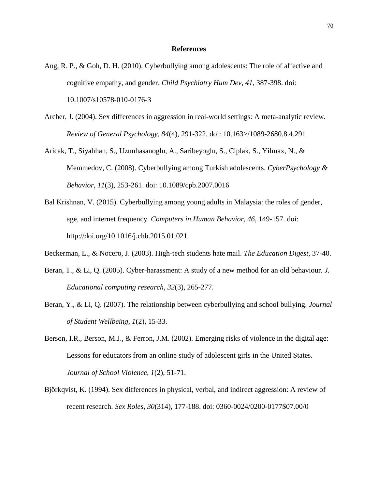#### **References**

- Ang, R. P., & Goh, D. H. (2010). Cyberbullying among adolescents: The role of affective and cognitive empathy, and gender. *Child Psychiatry Hum Dev, 41*, 387-398. doi: 10.1007/s10578-010-0176-3
- Archer, J. (2004). Sex differences in aggression in real-world settings: A meta-analytic review. *Review of General Psychology, 84*(4), 291-322. doi: 10.163>/1089-2680.8.4.291
- Aricak, T., Siyahhan, S., Uzunhasanoglu, A., Saribeyoglu, S., Ciplak, S., Yilmax, N., & Memmedov, C. (2008). Cyberbullying among Turkish adolescents. *CyberPsychology & Behavior, 11*(3), 253-261. doi: 10.1089/cpb.2007.0016
- Bal Krishnan, V. (2015). Cyberbullying among young adults in Malaysia: the roles of gender, age, and internet frequency. *Computers in Human Behavior, 46*, 149-157. doi: http://doi.org/10.1016/j.chb.2015.01.021
- Beckerman, L., & Nocero, J. (2003). High-tech students hate mail. *The Education Digest,* 37-40.
- Beran, T., & Li, Q. (2005). Cyber-harassment: A study of a new method for an old behaviour. *J. Educational computing research, 32*(3), 265-277.
- Beran, Y., & Li, Q. (2007). The relationship between cyberbullying and school bullying. *Journal of Student Wellbeing, 1*(2), 15-33.
- Berson, I.R., Berson, M.J., & Ferron, J.M. (2002). Emerging risks of violence in the digital age: Lessons for educators from an online study of adolescent girls in the United States. *Journal of School Violence, 1*(2), 51-71.
- Björkqvist, K. (1994). Sex differences in physical, verbal, and indirect aggression: A review of recent research. *Sex Roles, 30*(314), 177-188. doi: 0360-0024/0200-0177\$07.00/0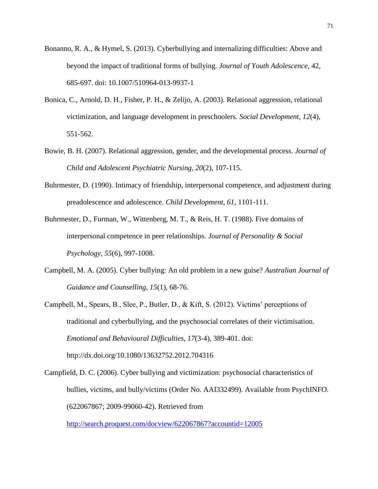- Bonanno, R. A., & Hymel, S. (2013). Cyberbullying and internalizing difficulties: Above and beyond the impact of traditional forms of bullying. *Journal of Youth Adolescence,* 42, 685-697. doi: 10.1007/510964-013-9937-1
- Bonica, C., Arnold, D. H., Fisher, P. H., & Zelijo, A. (2003). Relational aggression, relational victimization, and language development in preschoolers. *Social Development, 12*(4), 551-562.
- Bowie, B. H. (2007). Relational aggression, gender, and the developmental process. *Journal of Child and Adolescent Psychiatric Nursing, 20*(2), 107-115.
- Buhrmester, D. (1990). Intimacy of friendship, interpersonal competence, and adjustment during preadolescence and adolescence. *Child Development, 61*, 1101-111.
- Buhrmester, D., Furman, W., Wittenberg, M. T., & Reis, H. T. (1988). Five domains of interpersonal competence in peer relationships. *Journal of Personality & Social Psychology, 55*(6), 997-1008.
- Campbell, M. A. (2005). Cyber bullying: An old problem in a new guise? *Australian Journal of Guidance and Counselling, 15*(1), 68-76.
- Campbell, M., Spears, B., Slee, P., Butler, D., & Kift, S. (2012). Victims' perceptions of traditional and cyberbullying, and the psychosocial correlates of their victimisation. *Emotional and Behavioural Difficulties, 17*(3-4), 389-401. doi: http://dx.doi.org/10.1080/13632752.2012.704316
- Campfield, D. C. (2006). Cyber bullying and victimization: psychosocial characteristics of bullies, victims, and bully/victims (Order No. AAI332499). Available from PsychINFO. (622067867; 2009-99060-42). Retrieved from

<http://search.proquest.com/docview/622067867?accountid=12005>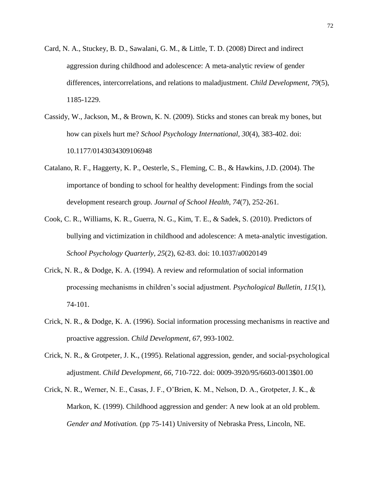- Card, N. A., Stuckey, B. D., Sawalani, G. M., & Little, T. D. (2008) Direct and indirect aggression during childhood and adolescence: A meta-analytic review of gender differences, intercorrelations, and relations to maladjustment. *Child Development, 79*(5), 1185-1229.
- Cassidy, W., Jackson, M., & Brown, K. N. (2009). Sticks and stones can break my bones, but how can pixels hurt me? *School Psychology International, 30*(4), 383-402. doi: 10.1177/0143034309106948
- Catalano, R. F., Haggerty, K. P., Oesterle, S., Fleming, C. B., & Hawkins, J.D. (2004). The importance of bonding to school for healthy development: Findings from the social development research group. *Journal of School Health, 74*(7), 252-261.
- Cook, C. R., Williams, K. R., Guerra, N. G., Kim, T. E., & Sadek, S. (2010). Predictors of bullying and victimization in childhood and adolescence: A meta-analytic investigation. *School Psychology Quarterly, 25*(2), 62-83. doi: 10.1037/a0020149
- Crick, N. R., & Dodge, K. A. (1994). A review and reformulation of social information processing mechanisms in children's social adjustment. *Psychological Bulletin, 115*(1), 74-101.
- Crick, N. R., & Dodge, K. A. (1996). Social information processing mechanisms in reactive and proactive aggression. *Child Development, 67*, 993-1002.
- Crick, N. R., & Grotpeter, J. K., (1995). Relational aggression, gender, and social-psychological adjustment. *Child Development, 66*, 710-722. doi: 0009-3920/95/6603-0013\$01.00
- Crick, N. R., Werner, N. E., Casas, J. F., O'Brien, K. M., Nelson, D. A., Grotpeter, J. K., & Markon, K. (1999). Childhood aggression and gender: A new look at an old problem. *Gender and Motivation.* (pp 75-141) University of Nebraska Press, Lincoln, NE.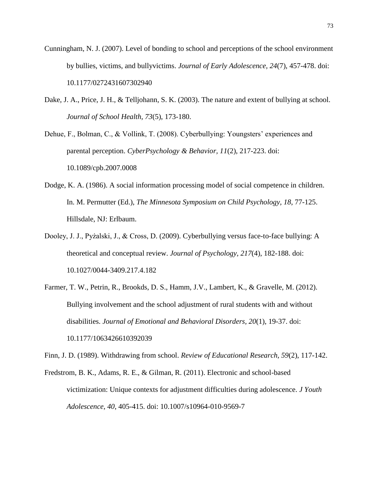- Cunningham, N. J. (2007). Level of bonding to school and perceptions of the school environment by bullies, victims, and bullyvictims. *Journal of Early Adolescence, 24*(7), 457-478. doi: 10.1177/0272431607302940
- Dake, J. A., Price, J. H., & Telljohann, S. K. (2003). The nature and extent of bullying at school. *Journal of School Health, 73*(5), 173-180.
- Dehue, F., Bolman, C., & Vollink, T. (2008). Cyberbullying: Youngsters' experiences and parental perception. *CyberPsychology & Behavior, 11*(2), 217-223. doi: 10.1089/cpb.2007.0008
- Dodge, K. A. (1986). A social information processing model of social competence in children. In. M. Permutter (Ed.), *The Minnesota Symposium on Child Psychology, 18*, 77-125. Hillsdale, NJ: Erlbaum.
- Dooley, J. J., Pyżalski, J., & Cross, D. (2009). Cyberbullying versus face-to-face bullying: A theoretical and conceptual review. *Journal of Psychology, 217*(4), 182-188. doi: 10.1027/0044-3409.217.4.182
- Farmer, T. W., Petrin, R., Brookds, D. S., Hamm, J.V., Lambert, K., & Gravelle, M. (2012). Bullying involvement and the school adjustment of rural students with and without disabilities. *Journal of Emotional and Behavioral Disorders, 20*(1), 19-37. doi: 10.1177/1063426610392039

Finn, J. D. (1989). Withdrawing from school. *Review of Educational Research, 59*(2), 117-142.

Fredstrom, B. K., Adams, R. E., & Gilman, R. (2011). Electronic and school-based victimization: Unique contexts for adjustment difficulties during adolescence. *J Youth Adolescence, 40*, 405-415. doi: 10.1007/s10964-010-9569-7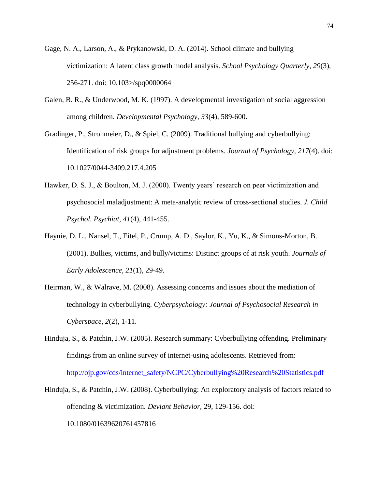- Gage, N. A., Larson, A., & Prykanowski, D. A. (2014). School climate and bullying victimization: A latent class growth model analysis. *School Psychology Quarterly, 29*(3), 256-271. doi: 10.103>/spq0000064
- Galen, B. R., & Underwood, M. K. (1997). A developmental investigation of social aggression among children. *Developmental Psychology, 33*(4), 589-600.
- Gradinger, P., Strohmeier, D., & Spiel, C. (2009). Traditional bullying and cyberbullying: Identification of risk groups for adjustment problems. *Journal of Psychology, 217*(4). doi: 10.1027/0044-3409.217.4.205
- Hawker, D. S. J., & Boulton, M. J. (2000). Twenty years' research on peer victimization and psychosocial maladjustment: A meta-analytic review of cross-sectional studies. *J. Child Psychol. Psychiat, 41*(4), 441-455.
- Haynie, D. L., Nansel, T., Eitel, P., Crump, A. D., Saylor, K., Yu, K., & Simons-Morton, B. (2001). Bullies, victims, and bully/victims: Distinct groups of at risk youth. *Journals of Early Adolescence, 21*(1), 29-49.
- Heirman, W., & Walrave, M. (2008). Assessing concerns and issues about the mediation of technology in cyberbullying. *Cyberpsychology: Journal of Psychosocial Research in Cyberspace, 2*(2), 1-11.
- Hinduja, S., & Patchin, J.W. (2005). Research summary: Cyberbullying offending. Preliminary findings from an online survey of internet-using adolescents. Retrieved from: [http://ojp.gov/cds/internet\\_safety/NCPC/Cyberbullying%20Research%20Statistics.pdf](http://ojp.gov/cds/internet_safety/NCPC/Cyberbullying%20Research%20Statistics.pdf)
- Hinduja, S., & Patchin, J.W. (2008). Cyberbullying: An exploratory analysis of factors related to offending & victimization. *Deviant Behavior,* 29, 129-156. doi: 10.1080/01639620761457816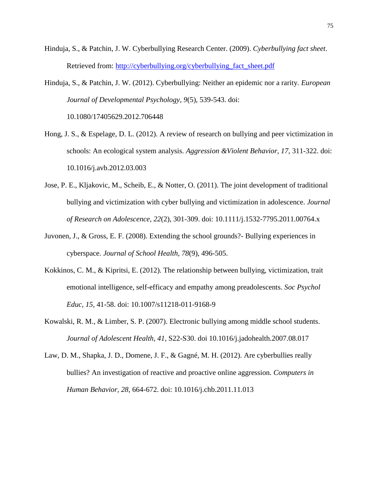- Hinduja, S., & Patchin, J. W. Cyberbullying Research Center. (2009). *Cyberbullying fact sheet*. Retrieved from: [http://cyberbullying.org/cyberbullying\\_fact\\_sheet.pdf](http://cyberbullying.org/cyberbullying_fact_sheet.pdf)
- Hinduja, S., & Patchin, J. W. (2012). Cyberbullying: Neither an epidemic nor a rarity. *European Journal of Developmental Psychology, 9*(5), 539-543. doi: 10.1080/17405629.2012.706448
- Hong, J. S., & Espelage, D. L. (2012). A review of research on bullying and peer victimization in schools: An ecological system analysis. *Aggression &Violent Behavior, 17*, 311-322. doi: 10.1016/j.avb.2012.03.003
- Jose, P. E., Kljakovic, M., Scheib, E., & Notter, O. (2011). The joint development of traditional bullying and victimization with cyber bullying and victimization in adolescence. *Journal of Research on Adolescence, 22*(2), 301-309. doi: 10.1111/j.1532-7795.2011.00764.x
- Juvonen, J., & Gross, E. F. (2008). Extending the school grounds?- Bullying experiences in cyberspace. *Journal of School Health, 78*(9), 496-505.
- Kokkinos, C. M., & Kipritsi, E. (2012). The relationship between bullying, victimization, trait emotional intelligence, self-efficacy and empathy among preadolescents. *Soc Psychol Educ, 15*, 41-58. doi: 10.1007/s11218-011-9168-9
- Kowalski, R. M., & Limber, S. P. (2007). Electronic bullying among middle school students. *Journal of Adolescent Health, 41*, S22-S30. doi 10.1016/j.jadohealth.2007.08.017
- Law, D. M., Shapka, J. D., Domene, J. F., & Gagné, M. H. (2012). Are cyberbullies really bullies? An investigation of reactive and proactive online aggression. *Computers in Human Behavior, 28*, 664-672. doi: 10.1016/j.chb.2011.11.013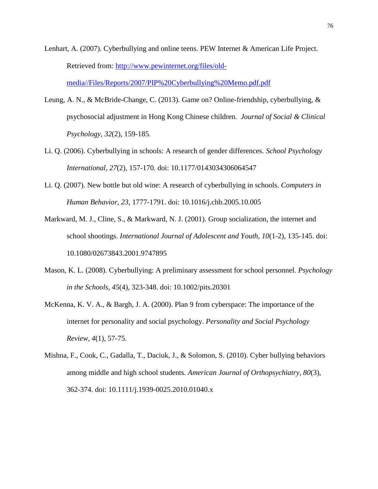- Lenhart, A. (2007). Cyberbullying and online teens. PEW Internet & American Life Project. Retrieved from: [http://www.pewinternet.org/files/old](http://www.pewinternet.org/files/old-media/Files/Reports/2007/PIP%20Cyberbullying%20Memo.pdf.pdf)[media//Files/Reports/2007/PIP%20Cyberbullying%20Memo.pdf.pdf](http://www.pewinternet.org/files/old-media/Files/Reports/2007/PIP%20Cyberbullying%20Memo.pdf.pdf)
- Leung, A. N., & McBride-Change, C. (2013). Game on? Online-friendship, cyberbullying, & psychosocial adjustment in Hong Kong Chinese children. *Journal of Social & Clinical Psychology, 32*(2), 159-185.
- Li. Q. (2006). Cyberbullying in schools: A research of gender differences. *School Psychology International, 27*(2), 157-170. doi: 10.1177/0143034306064547
- Li. Q. (2007). New bottle but old wine: A research of cyberbullying in schools. *Computers in Human Behavior, 23*, 1777-1791. doi: 10.1016/j.chb.2005.10.005
- Markward, M. J., Cline, S., & Markward, N. J. (2001). Group socialization, the internet and school shootings. *International Journal of Adolescent and Youth, 10*(1-2), 135-145. doi: 10.1080/02673843.2001.9747895
- Mason, K. L. (2008). Cyberbullying: A preliminary assessment for school personnel. *Psychology in the Schools, 45*(4), 323-348. doi: 10.1002/pits.20301
- McKenna, K. V. A., & Bargh, J. A. (2000). Plan 9 from cyberspace: The importance of the internet for personality and social psychology. *Personality and Social Psychology Review, 4*(1), 57-75.
- Mishna, F., Cook, C., Gadalla, T., Daciuk, J., & Solomon, S. (2010). Cyber bullying behaviors among middle and high school students. *American Journal of Orthopsychiatry, 80*(3), 362-374. doi: 10.1111/j.1939-0025.2010.01040.x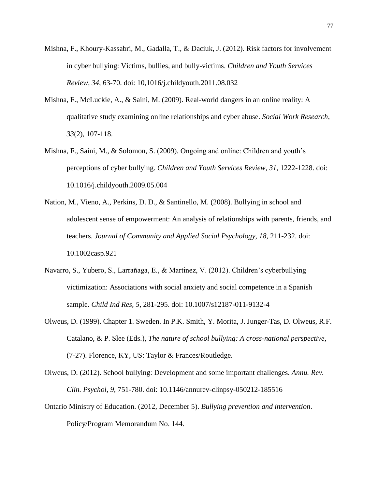- Mishna, F., Khoury-Kassabri, M., Gadalla, T., & Daciuk, J. (2012). Risk factors for involvement in cyber bullying: Victims, bullies, and bully-victims. *Children and Youth Services Review, 34*, 63-70. doi: 10,1016/j.childyouth.2011.08.032
- Mishna, F., McLuckie, A., & Saini, M. (2009). Real-world dangers in an online reality: A qualitative study examining online relationships and cyber abuse. *Social Work Research, 33*(2), 107-118.
- Mishna, F., Saini, M., & Solomon, S. (2009). Ongoing and online: Children and youth's perceptions of cyber bullying. *Children and Youth Services Review, 31*, 1222-1228. doi: 10.1016/j.childyouth.2009.05.004
- Nation, M., Vieno, A., Perkins, D. D., & Santinello, M. (2008). Bullying in school and adolescent sense of empowerment: An analysis of relationships with parents, friends, and teachers. *Journal of Community and Applied Social Psychology, 18*, 211-232. doi: 10.1002casp.921
- Navarro, S., Yubero, S., Larrañaga, E., & Martinez, V. (2012). Children's cyberbullying victimization: Associations with social anxiety and social competence in a Spanish sample. *Child Ind Res, 5*, 281-295. doi: 10.1007/s12187-011-9132-4
- Olweus, D. (1999). Chapter 1. Sweden. In P.K. Smith, Y. Morita, J. Junger-Tas, D. Olweus, R.F. Catalano, & P. Slee (Eds.), *The nature of school bullying: A cross-national perspective*, (7-27). Florence, KY, US: Taylor & Frances/Routledge.
- Olweus, D. (2012). School bullying: Development and some important challenges. *Annu. Rev. Clin. Psychol, 9*, 751-780. doi: 10.1146/annurev-clinpsy-050212-185516
- Ontario Ministry of Education. (2012, December 5). *Bullying prevention and intervention*. Policy/Program Memorandum No. 144.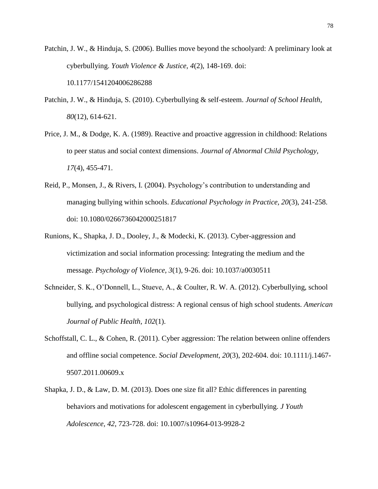- Patchin, J. W., & Hinduja, S. (2006). Bullies move beyond the schoolyard: A preliminary look at cyberbullying. *Youth Violence & Justice, 4*(2), 148-169. doi: 10.1177/1541204006286288
- Patchin, J. W., & Hinduja, S. (2010). Cyberbullying & self-esteem. *Journal of School Health, 80*(12), 614-621.
- Price, J. M., & Dodge, K. A. (1989). Reactive and proactive aggression in childhood: Relations to peer status and social context dimensions. *Journal of Abnormal Child Psychology, 17*(4), 455-471.
- Reid, P., Monsen, J., & Rivers, I. (2004). Psychology's contribution to understanding and managing bullying within schools. *Educational Psychology in Practice, 20*(3), 241-258. doi: 10.1080/0266736042000251817
- Runions, K., Shapka, J. D., Dooley, J., & Modecki, K. (2013). Cyber-aggression and victimization and social information processing: Integrating the medium and the message. *Psychology of Violence, 3*(1), 9-26. doi: 10.1037/a0030511
- Schneider, S. K., O'Donnell, L., Stueve, A., & Coulter, R. W. A. (2012). Cyberbullying, school bullying, and psychological distress: A regional census of high school students. *American Journal of Public Health, 102*(1).
- Schoffstall, C. L., & Cohen, R. (2011). Cyber aggression: The relation between online offenders and offline social competence. *Social Development, 20*(3), 202-604. doi: 10.1111/j.1467- 9507.2011.00609.x
- Shapka, J. D., & Law, D. M. (2013). Does one size fit all? Ethic differences in parenting behaviors and motivations for adolescent engagement in cyberbullying. *J Youth Adolescence, 42*, 723-728. doi: 10.1007/s10964-013-9928-2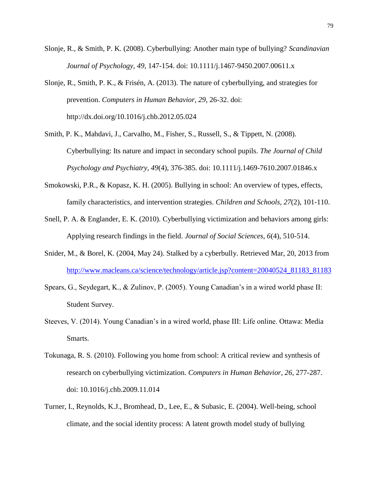- Slonje, R., & Smith, P. K. (2008). Cyberbullying: Another main type of bullying? *Scandinavian Journal of Psychology, 49*, 147-154. doi: 10.1111/j.1467-9450.2007.00611.x
- Slonje, R., Smith, P. K., & Frisén, A. (2013). The nature of cyberbullying, and strategies for prevention. *Computers in Human Behavior, 29*, 26-32. doi: http://dx.doi.org/10.1016/j.chb.2012.05.024
- Smith, P. K., Mahdavi, J., Carvalho, M., Fisher, S., Russell, S., & Tippett, N. (2008). Cyberbullying: Its nature and impact in secondary school pupils. *The Journal of Child Psychology and Psychiatry, 49*(4), 376-385. doi: 10.1111/j.1469-7610.2007.01846.x
- Smokowski, P.R., & Kopasz, K. H. (2005). Bullying in school: An overview of types, effects, family characteristics, and intervention strategies. *Children and Schools, 27*(2), 101-110.
- Snell, P. A. & Englander, E. K. (2010). Cyberbullying victimization and behaviors among girls: Applying research findings in the field. *Journal of Social Sciences, 6*(4), 510-514.
- Snider, M., & Borel, K. (2004, May 24). Stalked by a cyberbully. Retrieved Mar, 20, 2013 from [http://www.macleans.ca/science/technology/article.jsp?content=20040524\\_81183\\_81183](http://www.macleans.ca/science/technology/article.jsp?content=20040524_81183_81183)
- Spears, G., Seydegart, K., & Zulinov, P. (2005). Young Canadian's in a wired world phase II: Student Survey.
- Steeves, V. (2014). Young Canadian's in a wired world, phase III: Life online. Ottawa: Media Smarts.
- Tokunaga, R. S. (2010). Following you home from school: A critical review and synthesis of research on cyberbullying victimization. *Computers in Human Behavior, 26*, 277-287. doi: 10.1016/j.chb.2009.11.014
- Turner, I., Reynolds, K.J., Bromhead, D., Lee, E., & Subasic, E. (2004). Well-being, school climate, and the social identity process: A latent growth model study of bullying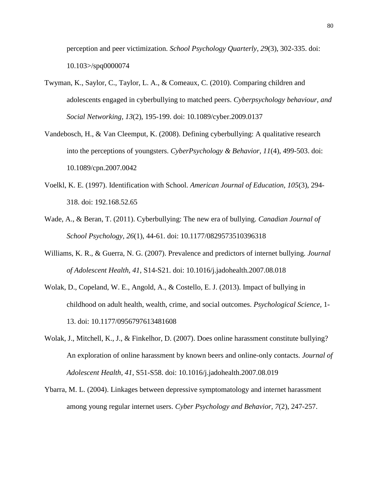perception and peer victimization. *School Psychology Quarterly, 29*(3), 302-335. doi: 10.103>/spq0000074

- Twyman, K., Saylor, C., Taylor, L. A., & Comeaux, C. (2010). Comparing children and adolescents engaged in cyberbullying to matched peers. *Cyberpsychology behaviour, and Social Networking, 13*(2), 195-199. doi: 10.1089/cyber.2009.0137
- Vandebosch, H., & Van Cleemput, K. (2008). Defining cyberbullying: A qualitative research into the perceptions of youngsters. *CyberPsychology & Behavior, 11*(4), 499-503. doi: 10.1089/cpn.2007.0042
- Voelkl, K. E. (1997). Identification with School. *American Journal of Education, 105*(3), 294- 318. doi: 192.168.52.65
- Wade, A., & Beran, T. (2011). Cyberbullying: The new era of bullying. *Canadian Journal of School Psychology, 26*(1), 44-61. doi: 10.1177/0829573510396318
- Williams, K. R., & Guerra, N. G. (2007). Prevalence and predictors of internet bullying. *Journal of Adolescent Health, 41*, S14-S21. doi: 10.1016/j.jadohealth.2007.08.018
- Wolak, D., Copeland, W. E., Angold, A., & Costello, E. J. (2013). Impact of bullying in childhood on adult health, wealth, crime, and social outcomes. *Psychological Science,* 1- 13. doi: 10.1177/0956797613481608
- Wolak, J., Mitchell, K., J., & Finkelhor, D. (2007). Does online harassment constitute bullying? An exploration of online harassment by known beers and online-only contacts. *Journal of Adolescent Health, 41*, S51-S58. doi: 10.1016/j.jadohealth.2007.08.019
- Ybarra, M. L. (2004). Linkages between depressive symptomatology and internet harassment among young regular internet users. *Cyber Psychology and Behavior, 7*(2), 247-257.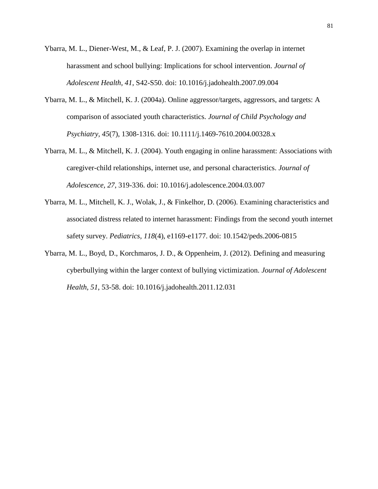- Ybarra, M. L., Diener-West, M., & Leaf, P. J. (2007). Examining the overlap in internet harassment and school bullying: Implications for school intervention. *Journal of Adolescent Health, 41*, S42-S50. doi: 10.1016/j.jadohealth.2007.09.004
- Ybarra, M. L., & Mitchell, K. J. (2004a). Online aggressor/targets, aggressors, and targets: A comparison of associated youth characteristics. *Journal of Child Psychology and Psychiatry, 45*(7), 1308-1316. doi: 10.1111/j.1469-7610.2004.00328.x
- Ybarra, M. L., & Mitchell, K. J. (2004). Youth engaging in online harassment: Associations with caregiver-child relationships, internet use, and personal characteristics. *Journal of Adolescence, 27*, 319-336. doi: 10.1016/j.adolescence.2004.03.007
- Ybarra, M. L., Mitchell, K. J., Wolak, J., & Finkelhor, D. (2006). Examining characteristics and associated distress related to internet harassment: Findings from the second youth internet safety survey. *Pediatrics, 118*(4), e1169-e1177. doi: 10.1542/peds.2006-0815
- Ybarra, M. L., Boyd, D., Korchmaros, J. D., & Oppenheim, J. (2012). Defining and measuring cyberbullying within the larger context of bullying victimization. *Journal of Adolescent Health, 51*, 53-58. doi: 10.1016/j.jadohealth.2011.12.031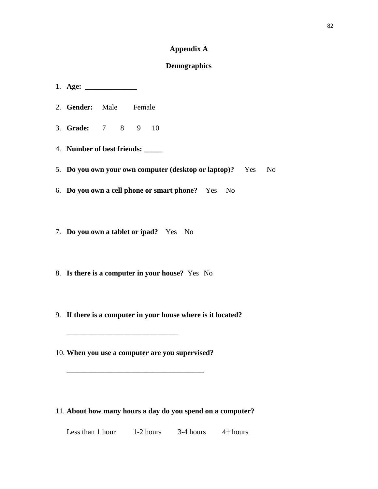# **Appendix A**

### **Demographics**

- 1. **Age:** \_\_\_\_\_\_\_\_\_\_\_\_\_\_ 2. **Gender:** Male Female 3. **Grade:** 7 8 9 10 4. **Number of best friends: \_\_\_\_\_** 5. **Do you own your own computer (desktop or laptop)?** Yes No 6. **Do you own a cell phone or smart phone?** Yes No 7. **Do you own a tablet or ipad?** Yes No
- 8. **Is there is a computer in your house?** Yes No
- 9. **If there is a computer in your house where is it located?**
- 10. **When you use a computer are you supervised?**

\_\_\_\_\_\_\_\_\_\_\_\_\_\_\_\_\_\_\_\_\_\_\_\_\_\_\_\_\_\_\_\_\_\_\_\_\_

\_\_\_\_\_\_\_\_\_\_\_\_\_\_\_\_\_\_\_\_\_\_\_\_\_\_\_\_\_\_

11. **About how many hours a day do you spend on a computer?**

Less than 1 hour  $1-2$  hours  $3-4$  hours  $4+$  hours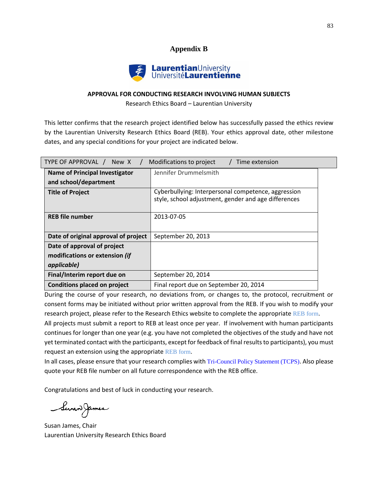# **Appendix B**



#### **APPROVAL FOR CONDUCTING RESEARCH INVOLVING HUMAN SUBJECTS**

Research Ethics Board – Laurentian University

This letter confirms that the research project identified below has successfully passed the ethics review by the Laurentian University Research Ethics Board (REB). Your ethics approval date, other milestone dates, and any special conditions for your project are indicated below.

| TYPE OF APPROVAL / New X<br>Modifications to project<br>Time extension |                                                                                                             |  |
|------------------------------------------------------------------------|-------------------------------------------------------------------------------------------------------------|--|
| <b>Name of Principal Investigator</b>                                  | Jennifer Drummelsmith                                                                                       |  |
| and school/department                                                  |                                                                                                             |  |
| <b>Title of Project</b>                                                | Cyberbullying: Interpersonal competence, aggression<br>style, school adjustment, gender and age differences |  |
| <b>REB file number</b>                                                 | 2013-07-05                                                                                                  |  |
| Date of original approval of project                                   | September 20, 2013                                                                                          |  |
| Date of approval of project                                            |                                                                                                             |  |
| modifications or extension (if                                         |                                                                                                             |  |
| applicable)                                                            |                                                                                                             |  |
| Final/Interim report due on                                            | September 20, 2014                                                                                          |  |
| <b>Conditions placed on project</b>                                    | Final report due on September 20, 2014                                                                      |  |

During the course of your research, no deviations from, or changes to, the protocol, recruitment or consent forms may be initiated without prior written approval from the REB. If you wish to modify your research project, please refer to the Research Ethics website to complete the appropriate REB form.

All projects must submit a report to REB at least once per year. If involvement with human participants continues for longer than one year (e.g. you have not completed the objectives of the study and have not yet terminated contact with the participants, except for feedback of final results to participants), you must request an extension using the appropriate REB form.

In all cases, please ensure that your research complies with Tri-Council Policy Statement (TCPS). Also please quote your REB file number on all future correspondence with the REB office.

Congratulations and best of luck in conducting your research.

Servan James

Susan James, Chair Laurentian University Research Ethics Board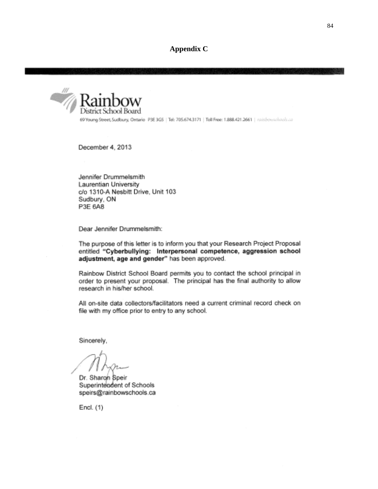**Appendix C**



69 Young Street, Sudbury, Ontario P3E 3G5 | Tel: 705.674.3171 | Toll Free: 1.888.421.2661 | miniposadraols.ca

December 4, 2013

Jennifer Drummelsmith Laurentian University c/o 1310-A Nesbitt Drive, Unit 103 Sudbury, ON P3E 6A8

Dear Jennifer Drummelsmith:

The purpose of this letter is to inform you that your Research Project Proposal entitled "Cyberbullying: Interpersonal competence, aggression school adjustment, age and gender" has been approved.

Rainbow District School Board permits you to contact the school principal in order to present your proposal. The principal has the final authority to allow research in his/her school.

All on-site data collectors/facilitators need a current criminal record check on file with my office prior to entry to any school.

Sincerely,

Dr. Sharon Speir Superintendent of Schools speirs@rainbowschools.ca

Encl.  $(1)$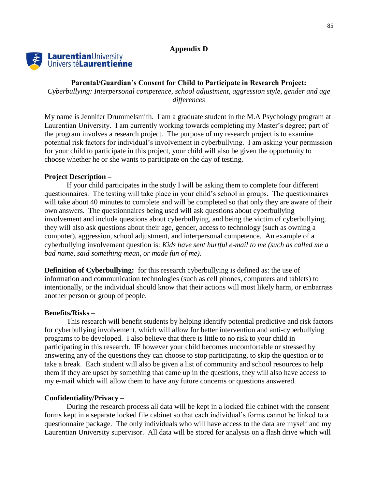#### **Appendix D**



#### **Parental/Guardian's Consent for Child to Participate in Research Project:**

*Cyberbullying: Interpersonal competence, school adjustment, aggression style, gender and age differences*

My name is Jennifer Drummelsmith. I am a graduate student in the M.A Psychology program at Laurentian University. I am currently working towards completing my Master's degree; part of the program involves a research project. The purpose of my research project is to examine potential risk factors for individual's involvement in cyberbullying. I am asking your permission for your child to participate in this project, your child will also be given the opportunity to choose whether he or she wants to participate on the day of testing.

#### **Project Description –**

If your child participates in the study I will be asking them to complete four different questionnaires. The testing will take place in your child's school in groups. The questionnaires will take about 40 minutes to complete and will be completed so that only they are aware of their own answers. The questionnaires being used will ask questions about cyberbullying involvement and include questions about cyberbullying, and being the victim of cyberbullying, they will also ask questions about their age, gender, access to technology (such as owning a computer), aggression, school adjustment, and interpersonal competence. An example of a cyberbullying involvement question is: *Kids have sent hurtful e-mail to me (such as called me a bad name, said something mean, or made fun of me).*

**Definition of Cyberbullying:** for this research cyberbullying is defined as: the use of information and communication technologies (such as cell phones, computers and tablets) to intentionally, or the individual should know that their actions will most likely harm, or embarrass another person or group of people.

#### **Benefits/Risks** –

This research will benefit students by helping identify potential predictive and risk factors for cyberbullying involvement, which will allow for better intervention and anti-cyberbullying programs to be developed. I also believe that there is little to no risk to your child in participating in this research. IF however your child becomes uncomfortable or stressed by answering any of the questions they can choose to stop participating, to skip the question or to take a break. Each student will also be given a list of community and school resources to help them if they are upset by something that came up in the questions, they will also have access to my e-mail which will allow them to have any future concerns or questions answered.

#### **Confidentiality/Privacy** –

During the research process all data will be kept in a locked file cabinet with the consent forms kept in a separate locked file cabinet so that each individual's forms cannot be linked to a questionnaire package. The only individuals who will have access to the data are myself and my Laurentian University supervisor. All data will be stored for analysis on a flash drive which will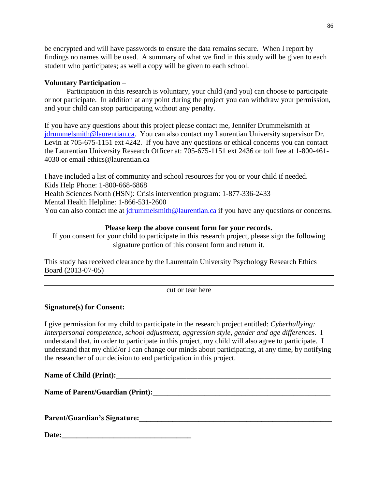be encrypted and will have passwords to ensure the data remains secure. When I report by findings no names will be used. A summary of what we find in this study will be given to each student who participates; as well a copy will be given to each school.

# **Voluntary Participation** –

Participation in this research is voluntary, your child (and you) can choose to participate or not participate. In addition at any point during the project you can withdraw your permission, and your child can stop participating without any penalty.

If you have any questions about this project please contact me, Jennifer Drummelsmith at [jdrummelsmith@laurentian.ca.](mailto:jdrummelsmith@laurentian.ca) You can also contact my Laurentian University supervisor Dr. Levin at 705-675-1151 ext 4242. If you have any questions or ethical concerns you can contact the Laurentian University Research Officer at: 705-675-1151 ext 2436 or toll free at 1-800-461- 4030 or email ethics@laurentian.ca

I have included a list of community and school resources for you or your child if needed. Kids Help Phone: 1-800-668-6868 Health Sciences North (HSN): Crisis intervention program: 1-877-336-2433 Mental Health Helpline: 1-866-531-2600 You can also contact me at [jdrummelsmith@laurentian.ca](mailto:jdrummelsmith@laurentian.ca) if you have any questions or concerns.

# **Please keep the above consent form for your records.**

If you consent for your child to participate in this research project, please sign the following signature portion of this consent form and return it.

This study has received clearance by the Laurentain University Psychology Research Ethics Board (2013-07-05)

cut or tear here

# **Signature(s) for Consent:**

I give permission for my child to participate in the research project entitled: *Cyberbullying: Interpersonal competence, school adjustment, aggression style, gender and age differences*. I understand that, in order to participate in this project, my child will also agree to participate. I understand that my child/or I can change our minds about participating, at any time, by notifying the researcher of our decision to end participation in this project.

## Name of Child (Print):

Name of Parent/Guardian (Print):

**Parent/Guardian's Signature:\_\_\_\_\_\_\_\_\_\_\_\_\_\_\_\_\_\_\_\_\_\_\_\_\_\_\_\_\_\_\_\_\_\_\_\_\_\_\_\_\_\_\_\_\_\_\_\_\_\_\_\_**

Date: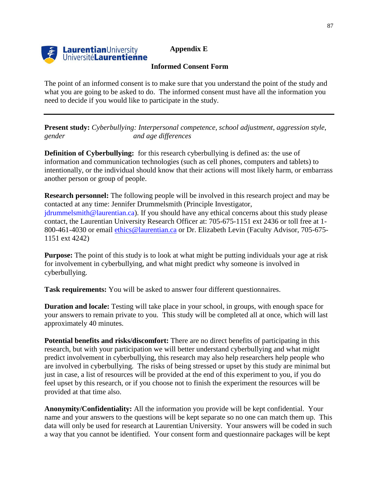# **Appendix E**



#### **Informed Consent Form**

The point of an informed consent is to make sure that you understand the point of the study and what you are going to be asked to do. The informed consent must have all the information you need to decide if you would like to participate in the study.

**Present study:** *Cyberbullying: Interpersonal competence, school adjustment, aggression style, gender and age differences*

**Definition of Cyberbullying:** for this research cyberbullying is defined as: the use of information and communication technologies (such as cell phones, computers and tablets) to intentionally, or the individual should know that their actions will most likely harm, or embarrass another person or group of people.

**Research personnel:** The following people will be involved in this research project and may be contacted at any time: Jennifer Drummelsmith (Principle Investigator, jdrummelsmith@laurentian.ca). If you should have any ethical concerns about this study please contact, the Laurentian University Research Officer at: 705-675-1151 ext 2436 or toll free at 1- 800-461-4030 or email [ethics@laurentian.ca](mailto:ethics@laurentian.ca) or Dr. Elizabeth Levin (Faculty Advisor, 705-675- 1151 ext 4242)

**Purpose:** The point of this study is to look at what might be putting individuals your age at risk for involvement in cyberbullying, and what might predict why someone is involved in cyberbullying.

**Task requirements:** You will be asked to answer four different questionnaires.

**Duration and locale:** Testing will take place in your school, in groups, with enough space for your answers to remain private to you. This study will be completed all at once, which will last approximately 40 minutes.

**Potential benefits and risks/discomfort:** There are no direct benefits of participating in this research, but with your participation we will better understand cyberbullying and what might predict involvement in cyberbullying, this research may also help researchers help people who are involved in cyberbullying. The risks of being stressed or upset by this study are minimal but just in case, a list of resources will be provided at the end of this experiment to you, if you do feel upset by this research, or if you choose not to finish the experiment the resources will be provided at that time also.

**Anonymity/Confidentiality:** All the information you provide will be kept confidential. Your name and your answers to the questions will be kept separate so no one can match them up. This data will only be used for research at Laurentian University. Your answers will be coded in such a way that you cannot be identified. Your consent form and questionnaire packages will be kept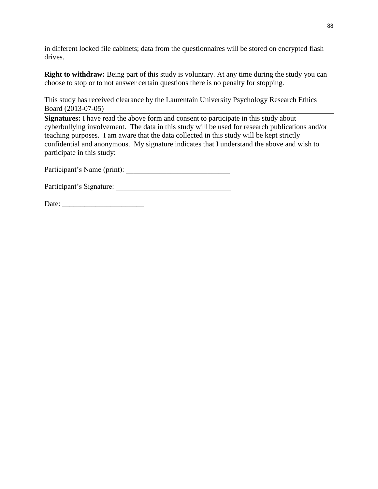in different locked file cabinets; data from the questionnaires will be stored on encrypted flash drives.

**Right to withdraw:** Being part of this study is voluntary. At any time during the study you can choose to stop or to not answer certain questions there is no penalty for stopping.

This study has received clearance by the Laurentain University Psychology Research Ethics Board (2013-07-05)

**Signatures:** I have read the above form and consent to participate in this study about cyberbullying involvement. The data in this study will be used for research publications and/or teaching purposes. I am aware that the data collected in this study will be kept strictly confidential and anonymous. My signature indicates that I understand the above and wish to participate in this study:

Participant's Name (print): \_\_\_\_\_\_\_\_\_\_\_\_\_\_\_\_\_\_\_\_\_\_\_\_\_\_\_\_

Participant's Signature:

Date: \_\_\_\_\_\_\_\_\_\_\_\_\_\_\_\_\_\_\_\_\_\_